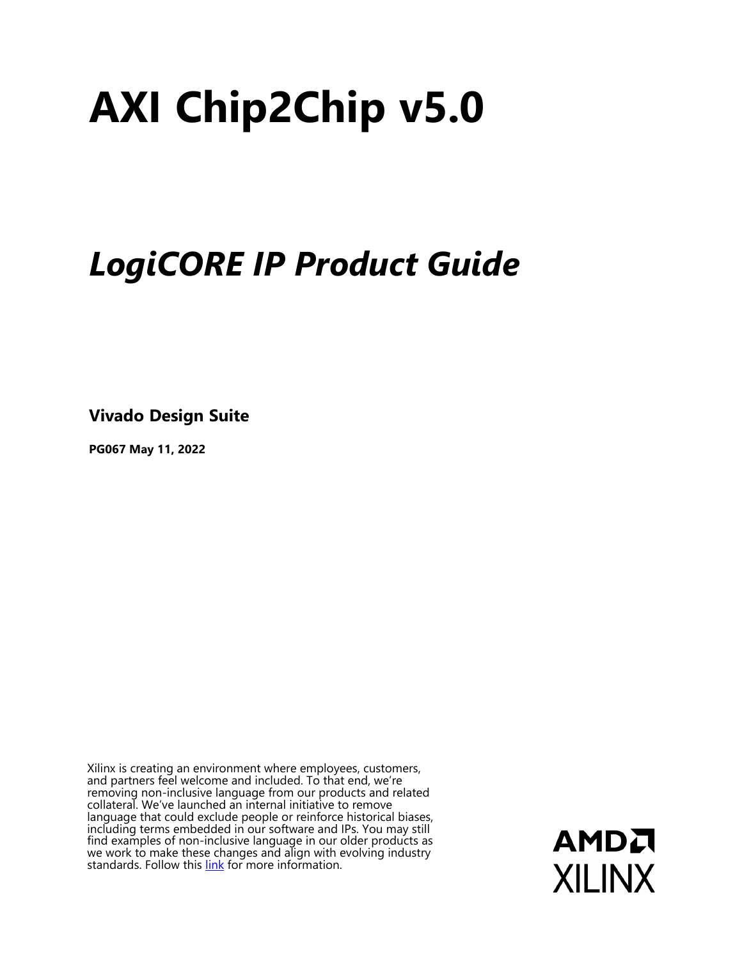# **AXI Chip2Chip v5.0**

# *LogiCORE IP Product Guide*

**Vivado Design Suite**

**PG067 May 11, 2022**

Xilinx is creating an environment where employees, customers, and partners feel welcome and included. To that end, we're removing non-inclusive language from our products and related collateral. We've launched an internal initiative to remove language that could exclude people or reinforce historical biases, including terms embedded in our software and IPs. You may still find examples of non-inclusive language in our older products as we work to make these changes and align with evolving industry standards. Follow this **[link](https://www.xilinx.com/content/dam/xilinx/publications/about/Inclusive-terminology.pdf)** for more information.

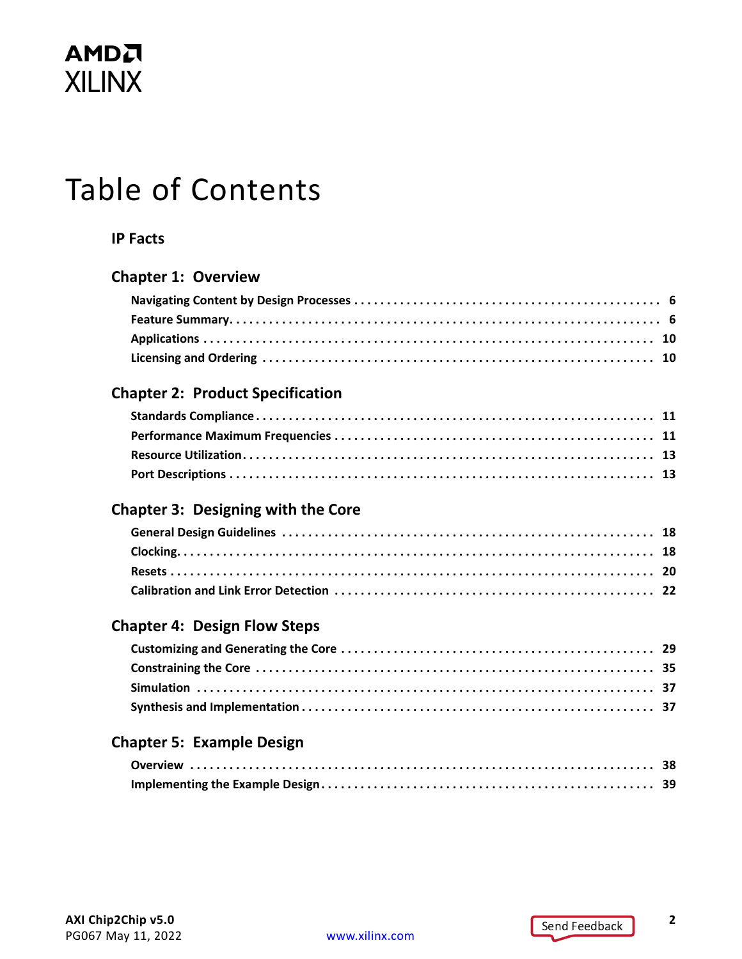# Table of Contents

#### **[IP Facts](#page-3-0)**

#### **[Chapter 1: Overview](#page-4-0)**

#### **[Chapter 2: Product Specification](#page-10-0)**

#### **[Chapter 3: Designing with the Core](#page-17-0)**

#### **[Chapter 4: Design Flow Steps](#page-28-0)**

#### **[Chapter 5: Example Design](#page-37-0)**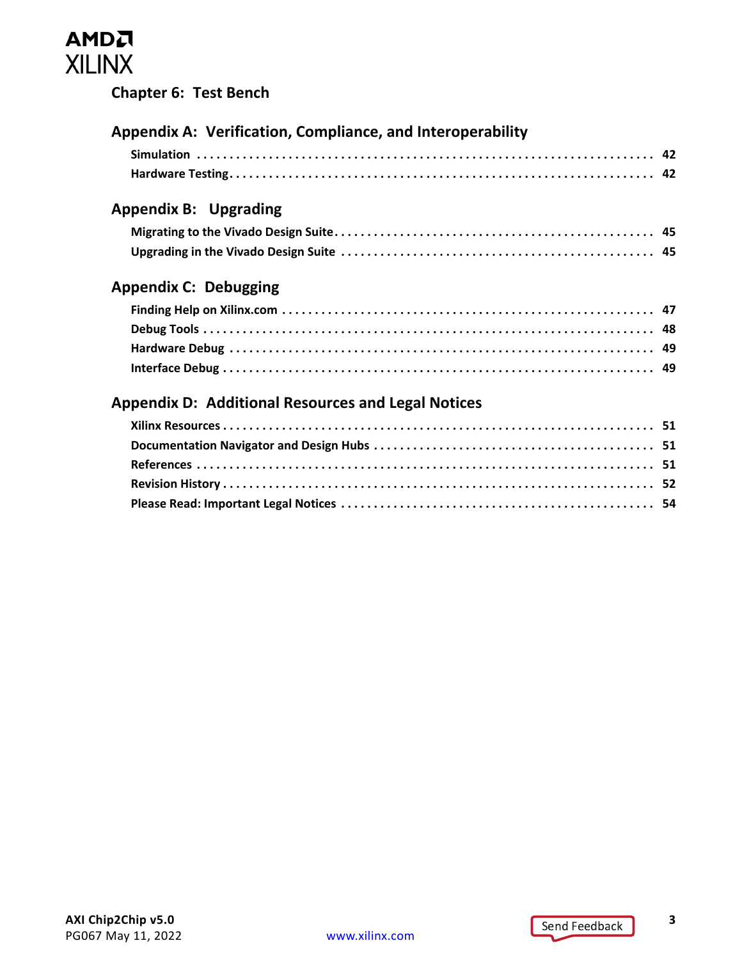#### **[Chapter 6: Test Bench](#page-39-0)**

| Appendix A: Verification, Compliance, and Interoperability |  |
|------------------------------------------------------------|--|
|                                                            |  |
|                                                            |  |
| <b>Appendix B: Upgrading</b>                               |  |
|                                                            |  |
|                                                            |  |
| <b>Appendix C: Debugging</b>                               |  |
|                                                            |  |
|                                                            |  |
|                                                            |  |
|                                                            |  |
| <b>Appendix D: Additional Resources and Legal Notices</b>  |  |
|                                                            |  |
|                                                            |  |
|                                                            |  |
|                                                            |  |
|                                                            |  |
|                                                            |  |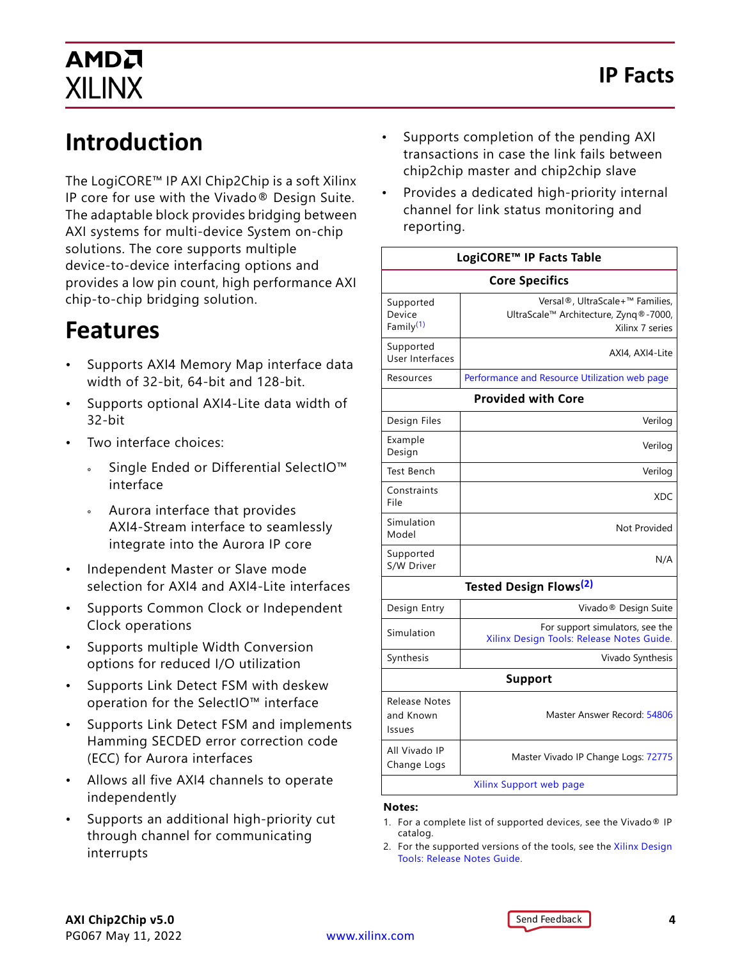## **Introduction**

The LogiCORE™ IP AXI Chip2Chip is a soft Xilinx IP core for use with the Vivado® Design Suite. The adaptable block provides bridging between AXI systems for multi-device System on-chip solutions. The core supports multiple device-to-device interfacing options and provides a low pin count, high performance AXI chip-to-chip bridging solution.

## **Features**

- Supports AXI4 Memory Map interface data width of 32-bit, 64-bit and 128-bit.
- Supports optional AXI4-Lite data width of 32-bit
- Two interface choices:
	- Single Ended or Differential SelectIO™ interface
	- ° Aurora interface that provides AXI4-Stream interface to seamlessly integrate into the Aurora IP core
- Independent Master or Slave mode selection for AXI4 and AXI4-Lite interfaces
- Supports Common Clock or Independent Clock operations
- Supports multiple Width Conversion options for reduced I/O utilization
- Supports Link Detect FSM with deskew operation for the SelectIO™ interface
- Supports Link Detect FSM and implements Hamming SECDED error correction code (ECC) for Aurora interfaces
- Allows all five AXI4 channels to operate independently
- Supports an additional high-priority cut through channel for communicating interrupts
- <span id="page-3-0"></span>• Supports completion of the pending AXI transactions in case the link fails between chip2chip master and chip2chip slave
- Provides a dedicated high-priority internal channel for link status monitoring and reporting.

| LogiCORE™ IP Facts Table                     |                                                                                             |  |  |  |
|----------------------------------------------|---------------------------------------------------------------------------------------------|--|--|--|
| <b>Core Specifics</b>                        |                                                                                             |  |  |  |
| Supported<br>Device<br>Family <sup>(1)</sup> | Versal®, UltraScale+™ Families,<br>UltraScale™ Architecture, Zynq®-7000,<br>Xilinx 7 series |  |  |  |
| Supported<br>User Interfaces                 | AXI4, AXI4-Lite                                                                             |  |  |  |
| Resources                                    | Performance and Resource Utilization web page                                               |  |  |  |
|                                              | <b>Provided with Core</b>                                                                   |  |  |  |
| Design Files                                 | Verilog                                                                                     |  |  |  |
| Example<br>Design                            | Verilog                                                                                     |  |  |  |
| Test Bench                                   | Verilog                                                                                     |  |  |  |
| Constraints<br>File                          | <b>XDC</b>                                                                                  |  |  |  |
| Simulation<br>Model                          | Not Provided                                                                                |  |  |  |
| Supported<br>S/W Driver                      | N/A                                                                                         |  |  |  |
|                                              | <b>Tested Design Flows<sup>(2)</sup></b>                                                    |  |  |  |
| Design Entry                                 | Vivado <sup>®</sup> Design Suite                                                            |  |  |  |
| Simulation                                   | For support simulators, see the<br>Xilinx Design Tools: Release Notes Guide.                |  |  |  |
| Synthesis                                    | Vivado Synthesis                                                                            |  |  |  |
| <b>Support</b>                               |                                                                                             |  |  |  |
| Release Notes<br>and Known<br>Issues         | Master Answer Record: 54806                                                                 |  |  |  |
| All Vivado IP<br>Change Logs                 | Master Vivado IP Change Logs: 72775                                                         |  |  |  |
| Xilinx Support web page                      |                                                                                             |  |  |  |

#### **Notes:**

- <span id="page-3-1"></span>1. For a complete list of supported devices, see the Vivado® IP catalog.
- <span id="page-3-2"></span>2. For the supported versions of the tools, see the [Xilinx Design](https://www.xilinx.com/cgi-bin/docs/rdoc?v=2022.1;t=vivado+release+notes)  [Tools: Release Notes Guide](https://www.xilinx.com/cgi-bin/docs/rdoc?v=2022.1;t=vivado+release+notes).

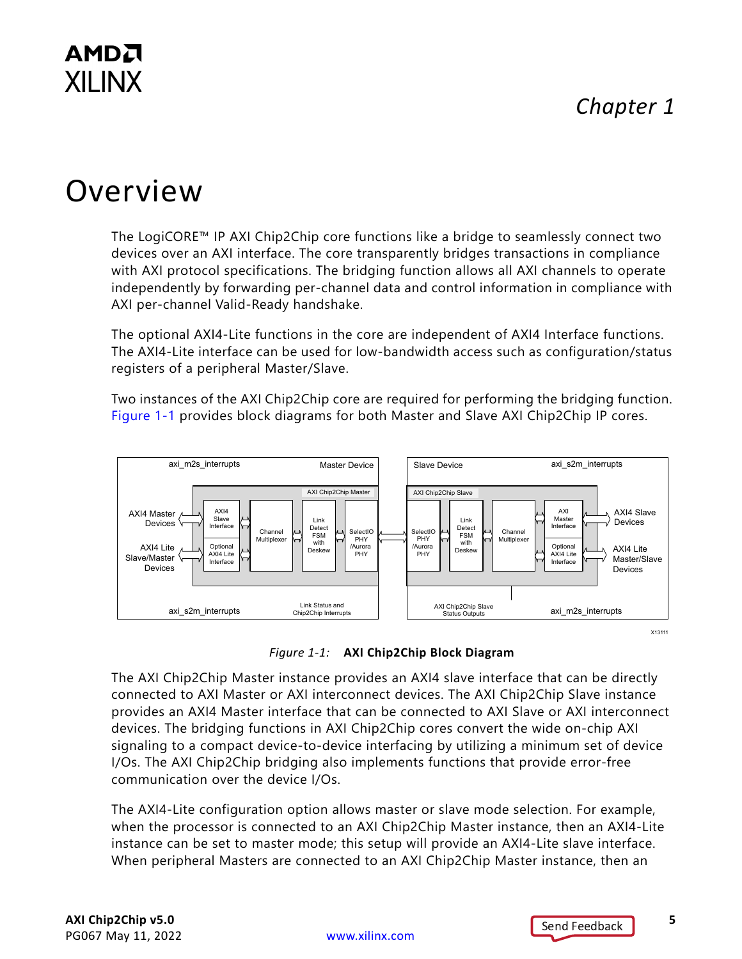## *Chapter 1*

## <span id="page-4-0"></span>Overview

The LogiCORE™ IP AXI Chip2Chip core functions like a bridge to seamlessly connect two devices over an AXI interface. The core transparently bridges transactions in compliance with AXI protocol specifications. The bridging function allows all AXI channels to operate independently by forwarding per-channel data and control information in compliance with AXI per-channel Valid-Ready handshake.

The optional AXI4-Lite functions in the core are independent of AXI4 Interface functions. The AXI4-Lite interface can be used for low-bandwidth access such as configuration/status registers of a peripheral Master/Slave.

Two instances of the AXI Chip2Chip core are required for performing the bridging function. [Figure 1-1](#page-4-1) provides block diagrams for both Master and Slave AXI Chip2Chip IP cores.

<span id="page-4-2"></span><span id="page-4-1"></span>



The AXI Chip2Chip Master instance provides an AXI4 slave interface that can be directly connected to AXI Master or AXI interconnect devices. The AXI Chip2Chip Slave instance provides an AXI4 Master interface that can be connected to AXI Slave or AXI interconnect devices. The bridging functions in AXI Chip2Chip cores convert the wide on-chip AXI signaling to a compact device-to-device interfacing by utilizing a minimum set of device I/Os. The AXI Chip2Chip bridging also implements functions that provide error-free communication over the device I/Os.

The AXI4-Lite configuration option allows master or slave mode selection. For example, when the processor is connected to an AXI Chip2Chip Master instance, then an AXI4-Lite instance can be set to master mode; this setup will provide an AXI4-Lite slave interface. When peripheral Masters are connected to an AXI Chip2Chip Master instance, then an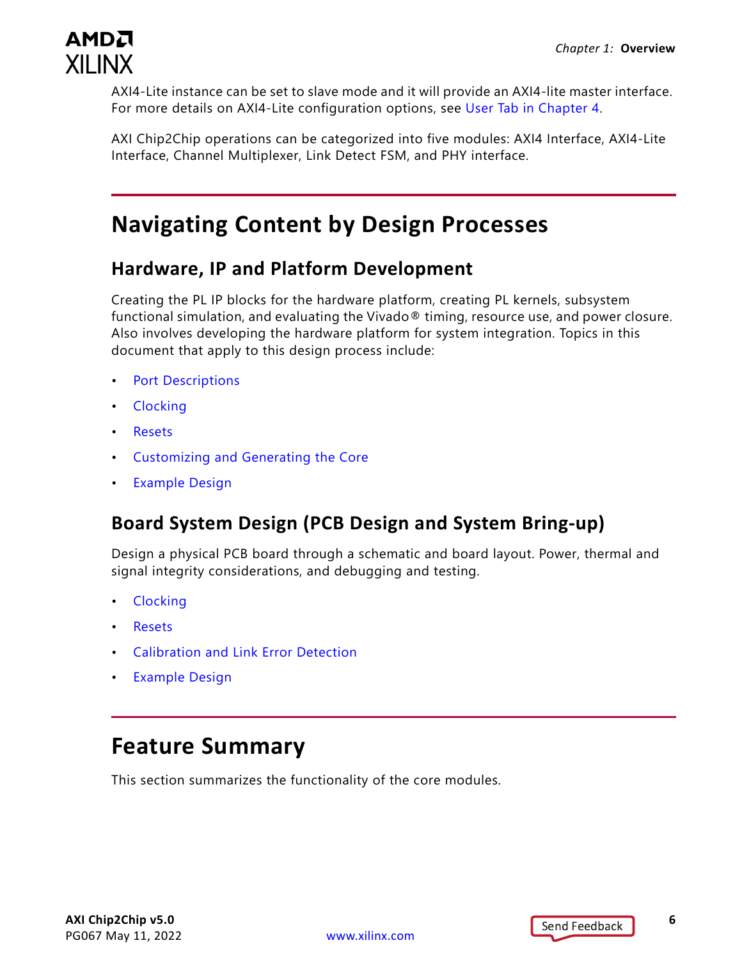

AXI4-Lite instance can be set to slave mode and it will provide an AXI4-lite master interface. For more details on AXI4-Lite configuration options, see [User Tab in Chapter 4.](#page-29-0)

AXI Chip2Chip operations can be categorized into five modules: AXI4 Interface, AXI4-Lite Interface, Channel Multiplexer, Link Detect FSM, and PHY interface.

## <span id="page-5-0"></span>**Navigating Content by Design Processes**

#### **Hardware, IP and Platform Development**

Creating the PL IP blocks for the hardware platform, creating PL kernels, subsystem functional simulation, and evaluating the Vivado® timing, resource use, and power closure. Also involves developing the hardware platform for system integration. Topics in this document that apply to this design process include:

- [Port Descriptions](#page-12-2)
- [Clocking](#page-17-3)
- [Resets](#page-19-1)
- [Customizing and Generating the Core](#page-28-2)
- [Example Design](#page-37-2)

#### **Board System Design (PCB Design and System Bring-up)**

Design a physical PCB board through a schematic and board layout. Power, thermal and signal integrity considerations, and debugging and testing.

- [Clocking](#page-17-3)
- [Resets](#page-19-1)
- [Calibration and Link Error Detection](#page-21-1)
- [Example Design](#page-37-2)

### <span id="page-5-1"></span>**Feature Summary**

This section summarizes the functionality of the core modules.

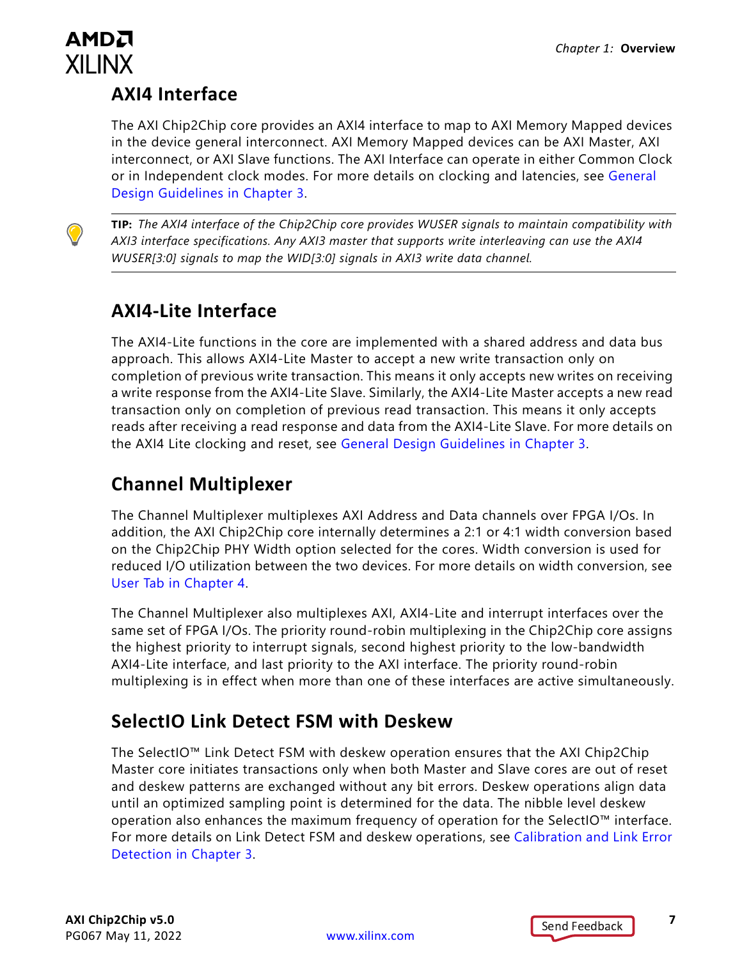#### **AXI4 Interface**

The AXI Chip2Chip core provides an AXI4 interface to map to AXI Memory Mapped devices in the device general interconnect. AXI Memory Mapped devices can be AXI Master, AXI interconnect, or AXI Slave functions. The AXI Interface can operate in either Common Clock or in Independent clock modes. For more details on clocking and latencies, see [General](#page-17-4)  [Design Guidelines in Chapter 3](#page-17-4).

**TIP:** *The AXI4 interface of the Chip2Chip core provides WUSER signals to maintain compatibility with AXI3 interface specifications. Any AXI3 master that supports write interleaving can use the AXI4 WUSER[3:0] signals to map the WID[3:0] signals in AXI3 write data channel.*

#### **AXI4-Lite Interface**

The AXI4-Lite functions in the core are implemented with a shared address and data bus approach. This allows AXI4-Lite Master to accept a new write transaction only on completion of previous write transaction. This means it only accepts new writes on receiving a write response from the AXI4-Lite Slave. Similarly, the AXI4-Lite Master accepts a new read transaction only on completion of previous read transaction. This means it only accepts reads after receiving a read response and data from the AXI4-Lite Slave. For more details on the AXI4 Lite clocking and reset, see [General Design Guidelines in Chapter 3.](#page-17-4)

### **Channel Multiplexer**

The Channel Multiplexer multiplexes AXI Address and Data channels over FPGA I/Os. In addition, the AXI Chip2Chip core internally determines a 2:1 or 4:1 width conversion based on the Chip2Chip PHY Width option selected for the cores. Width conversion is used for reduced I/O utilization between the two devices. For more details on width conversion, see [User Tab in Chapter 4](#page-29-0).

The Channel Multiplexer also multiplexes AXI, AXI4-Lite and interrupt interfaces over the same set of FPGA I/Os. The priority round-robin multiplexing in the Chip2Chip core assigns the highest priority to interrupt signals, second highest priority to the low-bandwidth AXI4-Lite interface, and last priority to the AXI interface. The priority round-robin multiplexing is in effect when more than one of these interfaces are active simultaneously.

### **SelectIO Link Detect FSM with Deskew**

The SelectIO™ Link Detect FSM with deskew operation ensures that the AXI Chip2Chip Master core initiates transactions only when both Master and Slave cores are out of reset and deskew patterns are exchanged without any bit errors. Deskew operations align data until an optimized sampling point is determined for the data. The nibble level deskew operation also enhances the maximum frequency of operation for the SelectIO™ interface. For more details on Link Detect FSM and deskew operations, see [Calibration and Link Error](#page-21-1)  [Detection in Chapter 3](#page-21-1).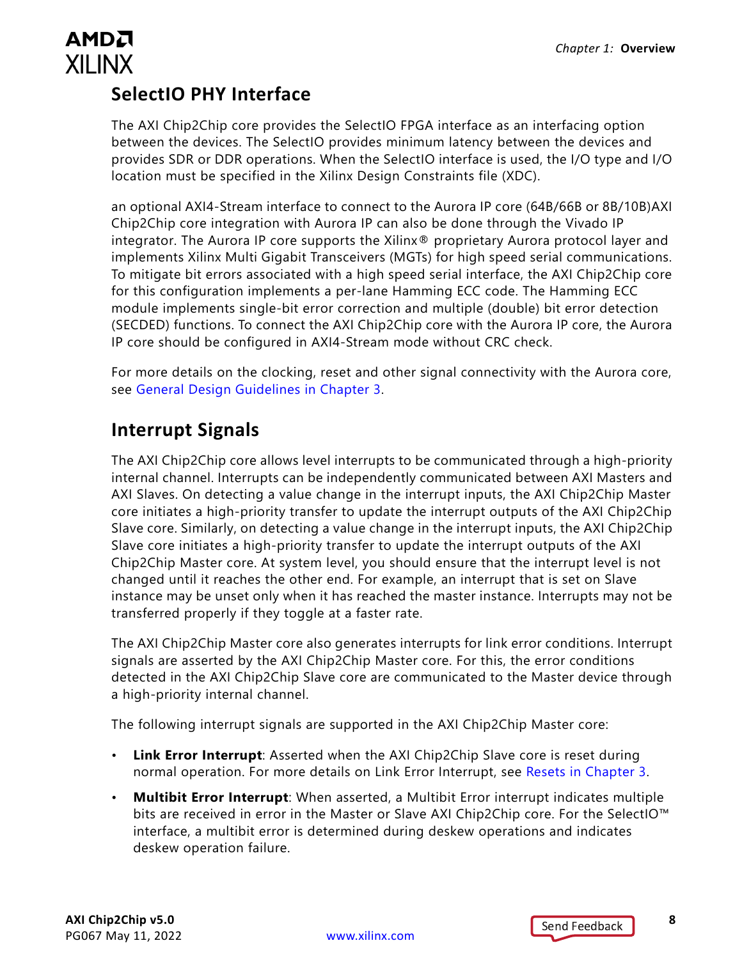### **SelectIO PHY Interface**

The AXI Chip2Chip core provides the SelectIO FPGA interface as an interfacing option between the devices. The SelectIO provides minimum latency between the devices and provides SDR or DDR operations. When the SelectIO interface is used, the I/O type and I/O location must be specified in the Xilinx Design Constraints file (XDC).

an optional AXI4-Stream interface to connect to the Aurora IP core (64B/66B or 8B/10B)AXI Chip2Chip core integration with Aurora IP can also be done through the Vivado IP integrator. The Aurora IP core supports the Xilinx® proprietary Aurora protocol layer and implements Xilinx Multi Gigabit Transceivers (MGTs) for high speed serial communications. To mitigate bit errors associated with a high speed serial interface, the AXI Chip2Chip core for this configuration implements a per-lane Hamming ECC code. The Hamming ECC module implements single-bit error correction and multiple (double) bit error detection (SECDED) functions. To connect the AXI Chip2Chip core with the Aurora IP core, the Aurora IP core should be configured in AXI4-Stream mode without CRC check.

For more details on the clocking, reset and other signal connectivity with the Aurora core, see [General Design Guidelines in Chapter 3.](#page-17-4)

### **Interrupt Signals**

The AXI Chip2Chip core allows level interrupts to be communicated through a high-priority internal channel. Interrupts can be independently communicated between AXI Masters and AXI Slaves. On detecting a value change in the interrupt inputs, the AXI Chip2Chip Master core initiates a high-priority transfer to update the interrupt outputs of the AXI Chip2Chip Slave core. Similarly, on detecting a value change in the interrupt inputs, the AXI Chip2Chip Slave core initiates a high-priority transfer to update the interrupt outputs of the AXI Chip2Chip Master core. At system level, you should ensure that the interrupt level is not changed until it reaches the other end. For example, an interrupt that is set on Slave instance may be unset only when it has reached the master instance. Interrupts may not be transferred properly if they toggle at a faster rate.

The AXI Chip2Chip Master core also generates interrupts for link error conditions. Interrupt signals are asserted by the AXI Chip2Chip Master core. For this, the error conditions detected in the AXI Chip2Chip Slave core are communicated to the Master device through a high-priority internal channel.

The following interrupt signals are supported in the AXI Chip2Chip Master core:

- **Link Error Interrupt**: Asserted when the AXI Chip2Chip Slave core is reset during normal operation. For more details on Link Error Interrupt, see [Resets in Chapter 3.](#page-19-1)
- **Multibit Error Interrupt**: When asserted, a Multibit Error interrupt indicates multiple bits are received in error in the Master or Slave AXI Chip2Chip core. For the SelectIO™ interface, a multibit error is determined during deskew operations and indicates deskew operation failure.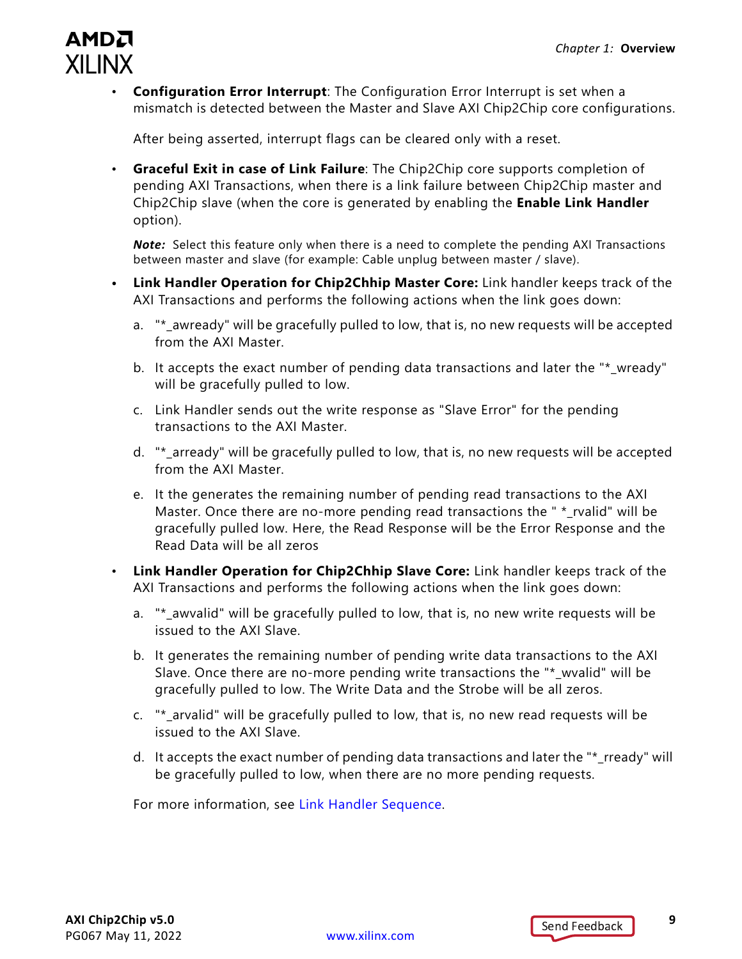

• **Configuration Error Interrupt**: The Configuration Error Interrupt is set when a mismatch is detected between the Master and Slave AXI Chip2Chip core configurations.

After being asserted, interrupt flags can be cleared only with a reset.

• **Graceful Exit in case of Link Failure**: The Chip2Chip core supports completion of pending AXI Transactions, when there is a link failure between Chip2Chip master and Chip2Chip slave (when the core is generated by enabling the **Enable Link Handler**  option).

**Note:** Select this feature only when there is a need to complete the pending AXI Transactions between master and slave (for example: Cable unplug between master / slave).

- **Link Handler Operation for Chip2Chhip Master Core:** Link handler keeps track of the AXI Transactions and performs the following actions when the link goes down:
	- a. "\*\_awready" will be gracefully pulled to low, that is, no new requests will be accepted from the AXI Master.
	- b. It accepts the exact number of pending data transactions and later the "\* wready" will be gracefully pulled to low.
	- c. Link Handler sends out the write response as "Slave Error" for the pending transactions to the AXI Master.
	- d. "\*\_arready" will be gracefully pulled to low, that is, no new requests will be accepted from the AXI Master.
	- e. It the generates the remaining number of pending read transactions to the AXI Master. Once there are no-more pending read transactions the " \*\_rvalid" will be gracefully pulled low. Here, the Read Response will be the Error Response and the Read Data will be all zeros
- **Link Handler Operation for Chip2Chhip Slave Core:** Link handler keeps track of the AXI Transactions and performs the following actions when the link goes down:
	- a. "\* awvalid" will be gracefully pulled to low, that is, no new write requests will be issued to the AXI Slave.
	- b. It generates the remaining number of pending write data transactions to the AXI Slave. Once there are no-more pending write transactions the "\*\_wvalid" will be gracefully pulled to low. The Write Data and the Strobe will be all zeros.
	- c. "\*\_arvalid" will be gracefully pulled to low, that is, no new read requests will be issued to the AXI Slave.
	- d. It accepts the exact number of pending data transactions and later the "\*\_rready" will be gracefully pulled to low, when there are no more pending requests.

For more information, see [Link Handler Sequence.](#page-27-0)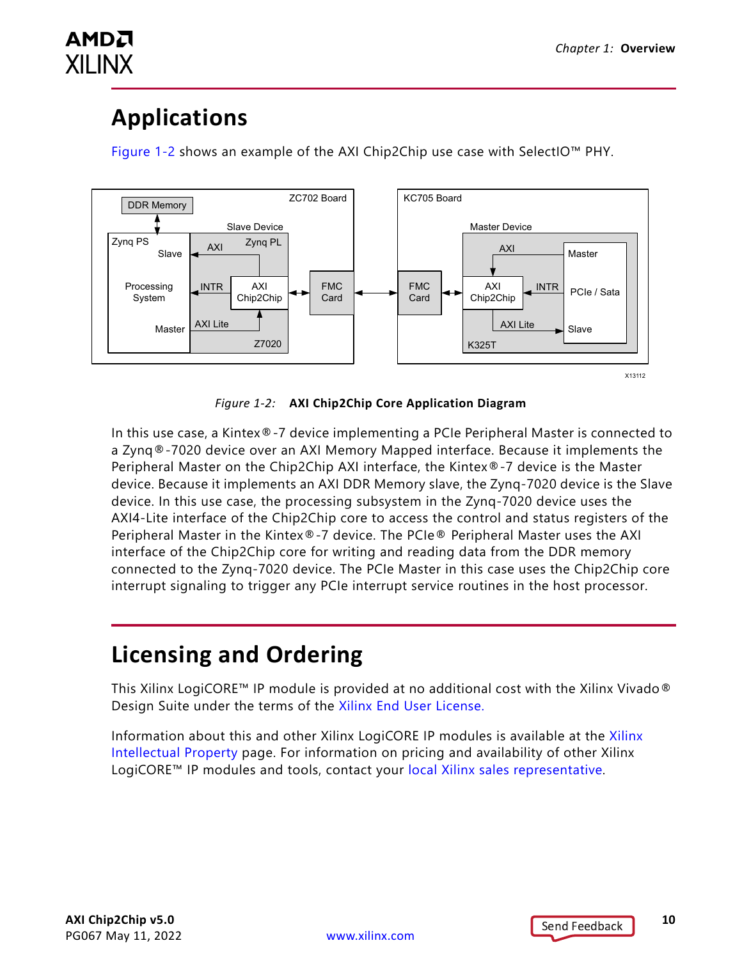## <span id="page-9-0"></span>**Applications**

AMDA

**XILINX** 

[Figure 1-2](#page-9-2) shows an example of the AXI Chip2Chip use case with SelectIO™ PHY.

<span id="page-9-2"></span>

*Figure 1-2:* **AXI Chip2Chip Core Application Diagram**

In this use case, a Kintex®-7 device implementing a PCIe Peripheral Master is connected to a Zynq®-7020 device over an AXI Memory Mapped interface. Because it implements the Peripheral Master on the Chip2Chip AXI interface, the Kintex®-7 device is the Master device. Because it implements an AXI DDR Memory slave, the Zynq-7020 device is the Slave device. In this use case, the processing subsystem in the Zynq-7020 device uses the AXI4-Lite interface of the Chip2Chip core to access the control and status registers of the Peripheral Master in the Kintex®-7 device. The PCIe® Peripheral Master uses the AXI interface of the Chip2Chip core for writing and reading data from the DDR memory connected to the Zynq-7020 device. The PCIe Master in this case uses the Chip2Chip core interrupt signaling to trigger any PCIe interrupt service routines in the host processor.

## <span id="page-9-1"></span>**Licensing and Ordering**

This Xilinx LogiCORE™ IP module is provided at no additional cost with the Xilinx Vivado® Design Suite under the terms of the [Xilinx End User License](https://www.xilinx.com/cgi-bin/docs/rdoc?t=eula).

Information about this and other Xilinx LogiCORE IP modules is available at the [Xilinx](https://www.xilinx.com/products/intellectual-property.html)  [Intellectual Property](https://www.xilinx.com/products/intellectual-property.html) page. For information on pricing and availability of other Xilinx LogiCORE™ IP modules and tools, contact your [local Xilinx sales representative](https://www.xilinx.com/about/contact.html).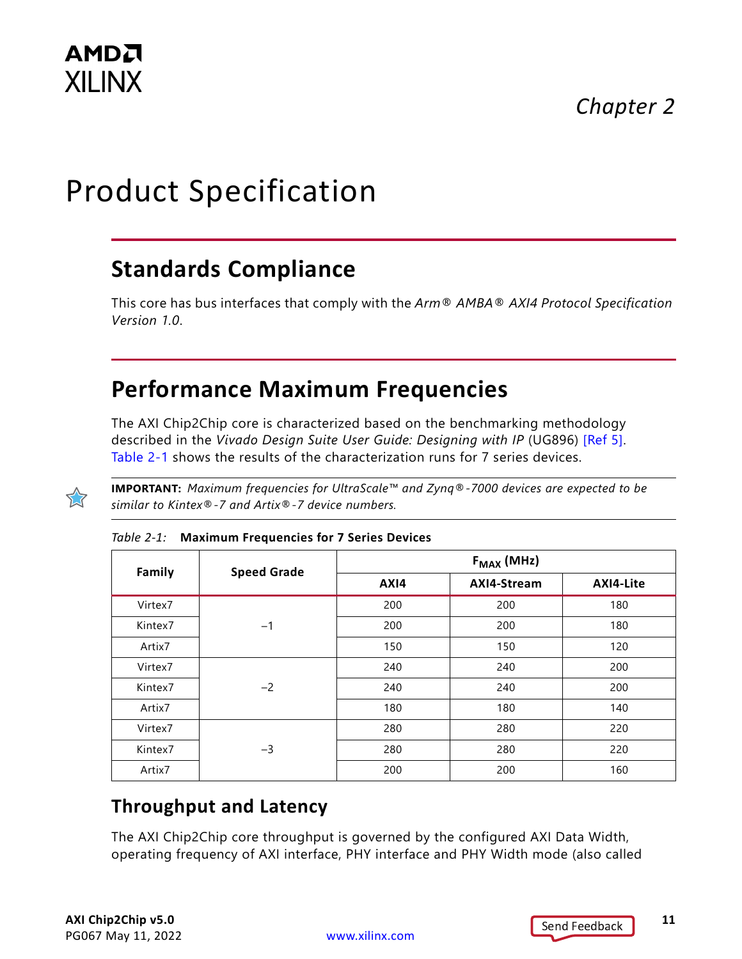# <span id="page-10-0"></span>Product Specification

## <span id="page-10-1"></span>**Standards Compliance**

This core has bus interfaces that comply with the *Arm® AMBA® AXI4 Protocol Specification Version 1.0*.

## <span id="page-10-2"></span>**Performance Maximum Frequencies**

The AXI Chip2Chip core is characterized based on the benchmarking methodology described in the *Vivado Design Suite User Guide: Designing with IP* (UG896) [\[Ref 5\]](#page-51-1). [Table 2-1](#page-10-3) shows the results of the characterization runs for 7 series devices.



**IMPORTANT:** *Maximum frequencies for UltraScale™ and Zynq®-7000 devices are expected to be similar to Kintex®-7 and Artix®-7 device numbers.*

| <b>Family</b> | <b>Speed Grade</b> | $F_{MAX}$ (MHz) |             |           |  |
|---------------|--------------------|-----------------|-------------|-----------|--|
|               |                    | AXI4            | AXI4-Stream | AXI4-Lite |  |
| Virtex7       |                    | 200             | 200         | 180       |  |
| Kintex7       | $-1$               | 200             | 200         | 180       |  |
| Artix7        |                    | 150             | 150         | 120       |  |
| Virtex7       |                    | 240             | 240         | 200       |  |
| Kintex7       | $-2$               | 240             | 240         | 200       |  |
| Artix7        |                    | 180             | 180         | 140       |  |
| Virtex7       |                    | 280             | 280         | 220       |  |
| Kintex7       | $-3$               | 280             | 280         | 220       |  |
| Artix7        |                    | 200             | 200         | 160       |  |

<span id="page-10-3"></span>

#### **Throughput and Latency**

The AXI Chip2Chip core throughput is governed by the configured AXI Data Width, operating frequency of AXI interface, PHY interface and PHY Width mode (also called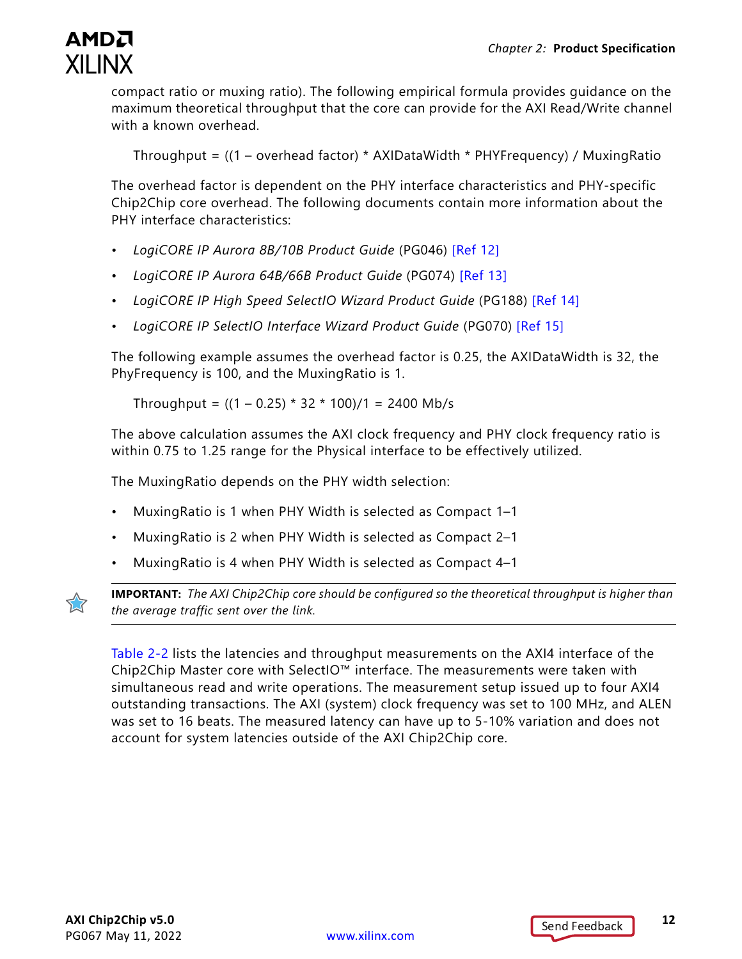

compact ratio or muxing ratio). The following empirical formula provides guidance on the maximum theoretical throughput that the core can provide for the AXI Read/Write channel with a known overhead.

Throughput = ((1 – overhead factor) \* AXIDataWidth \* PHYFrequency) / MuxingRatio

The overhead factor is dependent on the PHY interface characteristics and PHY-specific Chip2Chip core overhead. The following documents contain more information about the PHY interface characteristics:

- *LogiCORE IP Aurora 8B/10B Product Guide* (PG046) [\[Ref 12\]](#page-51-2)
- *LogiCORE IP Aurora 64B/66B Product Guide* (PG074) [\[Ref 13\]](#page-51-3)
- *LogiCORE IP High Speed SelectIO Wizard Product Guide* (PG188) [\[Ref 14\]](#page-51-4)
- *LogiCORE IP SelectIO Interface Wizard Product Guide* (PG070) [\[Ref 15\]](#page-51-5)

The following example assumes the overhead factor is 0.25, the AXIDataWidth is 32, the PhyFrequency is 100, and the MuxingRatio is 1.

Throughput =  $((1 – 0.25) * 32 * 100)/1 = 2400$  Mb/s

The above calculation assumes the AXI clock frequency and PHY clock frequency ratio is within 0.75 to 1.25 range for the Physical interface to be effectively utilized.

The MuxingRatio depends on the PHY width selection:

- MuxingRatio is 1 when PHY Width is selected as Compact 1–1
- MuxingRatio is 2 when PHY Width is selected as Compact 2–1
- MuxingRatio is 4 when PHY Width is selected as Compact 4–1



**IMPORTANT:** *The AXI Chip2Chip core should be configured so the theoretical throughput is higher than the average traffic sent over the link.*

[Table 2-2](#page-12-3) lists the latencies and throughput measurements on the AXI4 interface of the Chip2Chip Master core with SelectIO™ interface. The measurements were taken with simultaneous read and write operations. The measurement setup issued up to four AXI4 outstanding transactions. The AXI (system) clock frequency was set to 100 MHz, and ALEN was set to 16 beats. The measured latency can have up to 5-10% variation and does not account for system latencies outside of the AXI Chip2Chip core.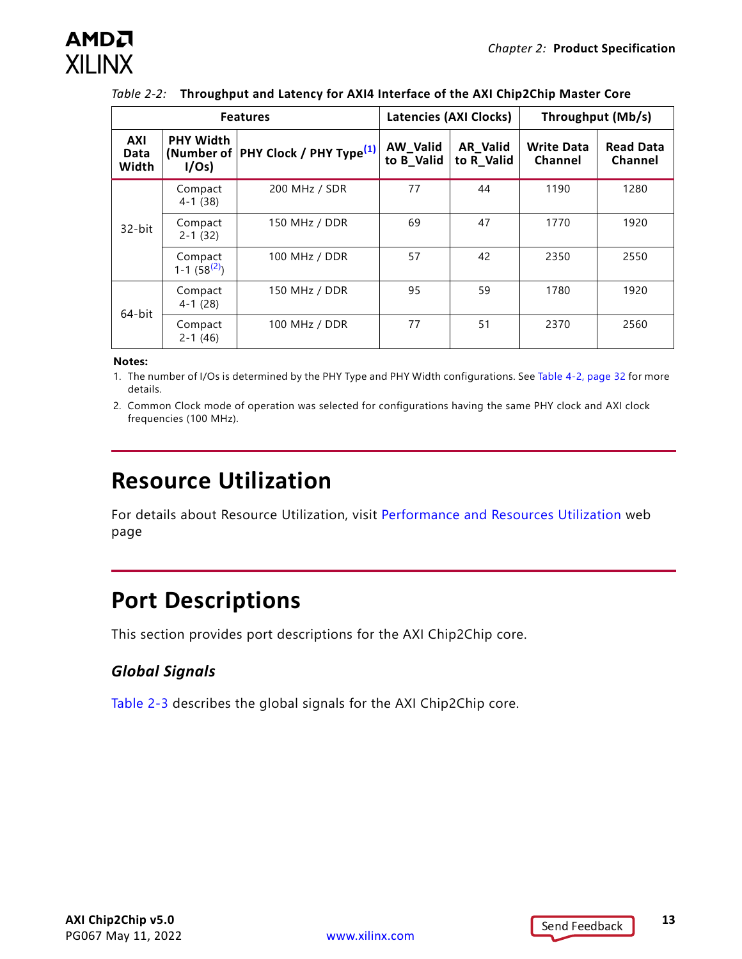| <b>Features</b>      |                                         |                                                | <b>Latencies (AXI Clocks)</b> |                               | Throughput (Mb/s)            |                             |
|----------------------|-----------------------------------------|------------------------------------------------|-------------------------------|-------------------------------|------------------------------|-----------------------------|
| AXI<br>Data<br>Width | <b>PHY Width</b><br>I/Os                | (Number of PHY Clock / PHY Type <sup>(1)</sup> | AW_Valid<br>to <b>B_Valid</b> | <b>AR Valid</b><br>to R Valid | <b>Write Data</b><br>Channel | <b>Read Data</b><br>Channel |
|                      | Compact<br>$4 - 1(38)$                  | 200 MHz / SDR                                  | 77                            | 44                            | 1190                         | 1280                        |
| 32-bit               | Compact<br>$2 - 1(32)$                  | 150 MHz / DDR                                  | 69                            | 47                            | 1770                         | 1920                        |
|                      | Compact<br>$1 - 1$ (58 <sup>(2)</sup> ) | 100 MHz / DDR                                  | 57                            | 42                            | 2350                         | 2550                        |
| 64-bit               | Compact<br>$4 - 1(28)$                  | 150 MHz / DDR                                  | 95                            | 59                            | 1780                         | 1920                        |
|                      | Compact<br>$2 - 1(46)$                  | 100 MHz / DDR                                  | 77                            | 51                            | 2370                         | 2560                        |

#### <span id="page-12-3"></span>*Table 2-2:* **Throughput and Latency for AXI4 Interface of the AXI Chip2Chip Master Core**

#### **Notes:**

<span id="page-12-5"></span>1. The number of I/Os is determined by the PHY Type and PHY Width configurations. See [Table 4-2, page 32](#page-31-0) for more details.

<span id="page-12-4"></span>2. Common Clock mode of operation was selected for configurations having the same PHY clock and AXI clock frequencies (100 MHz).

## <span id="page-12-0"></span>**Resource Utilization**

For details about Resource Utilization, visit [Performance and Resources Utilization](https://www.xilinx.com/cgi-bin/docs/ndoc?t=ip+ru;d=axi-chip2chip.html) web page

## <span id="page-12-2"></span><span id="page-12-1"></span>**Port Descriptions**

This section provides port descriptions for the AXI Chip2Chip core.

#### *Global Signals*

[Table 2-3](#page-13-0) describes the global signals for the AXI Chip2Chip core.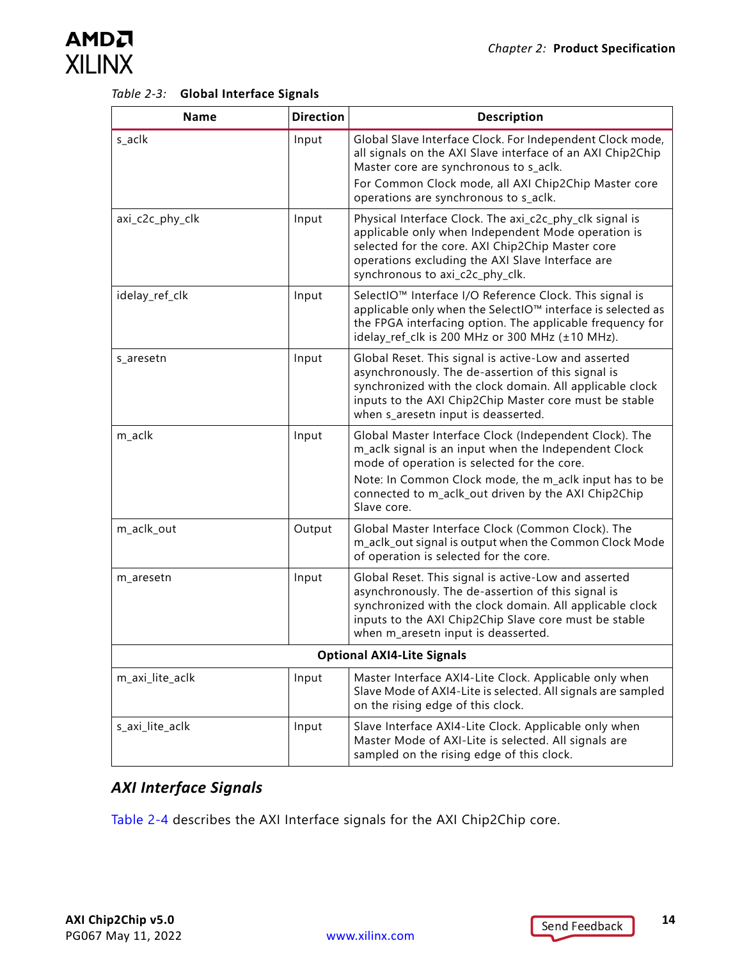<span id="page-13-0"></span>

| Table 2-3: Global Interface Signals |  |  |
|-------------------------------------|--|--|
|                                     |  |  |

| <b>Name</b>     | <b>Direction</b> | <b>Description</b>                                                                                                                                                                                                                                                                            |
|-----------------|------------------|-----------------------------------------------------------------------------------------------------------------------------------------------------------------------------------------------------------------------------------------------------------------------------------------------|
| s_aclk          | Input            | Global Slave Interface Clock. For Independent Clock mode,<br>all signals on the AXI Slave interface of an AXI Chip2Chip<br>Master core are synchronous to s_aclk.<br>For Common Clock mode, all AXI Chip2Chip Master core<br>operations are synchronous to s_aclk.                            |
| axi_c2c_phy_clk | Input            | Physical Interface Clock. The axi_c2c_phy_clk signal is<br>applicable only when Independent Mode operation is<br>selected for the core. AXI Chip2Chip Master core<br>operations excluding the AXI Slave Interface are<br>synchronous to axi_c2c_phy_clk.                                      |
| idelay_ref_clk  | Input            | SelectIO™ Interface I/O Reference Clock. This signal is<br>applicable only when the SelectIO™ interface is selected as<br>the FPGA interfacing option. The applicable frequency for<br>idelay_ref_clk is 200 MHz or 300 MHz (±10 MHz).                                                        |
| s_aresetn       | Input            | Global Reset. This signal is active-Low and asserted<br>asynchronously. The de-assertion of this signal is<br>synchronized with the clock domain. All applicable clock<br>inputs to the AXI Chip2Chip Master core must be stable<br>when s_aresetn input is deasserted.                       |
| m_aclk          | Input            | Global Master Interface Clock (Independent Clock). The<br>m_aclk signal is an input when the Independent Clock<br>mode of operation is selected for the core.<br>Note: In Common Clock mode, the m_aclk input has to be<br>connected to m_aclk_out driven by the AXI Chip2Chip<br>Slave core. |
| m_aclk_out      | Output           | Global Master Interface Clock (Common Clock). The<br>m_aclk_out signal is output when the Common Clock Mode<br>of operation is selected for the core.                                                                                                                                         |
| m_aresetn       | Input            | Global Reset. This signal is active-Low and asserted<br>asynchronously. The de-assertion of this signal is<br>synchronized with the clock domain. All applicable clock<br>inputs to the AXI Chip2Chip Slave core must be stable<br>when m_aresetn input is deasserted.                        |
|                 |                  | <b>Optional AXI4-Lite Signals</b>                                                                                                                                                                                                                                                             |
| m_axi_lite_aclk | Input            | Master Interface AXI4-Lite Clock. Applicable only when<br>Slave Mode of AXI4-Lite is selected. All signals are sampled<br>on the rising edge of this clock.                                                                                                                                   |
| s_axi_lite_aclk | Input            | Slave Interface AXI4-Lite Clock. Applicable only when<br>Master Mode of AXI-Lite is selected. All signals are<br>sampled on the rising edge of this clock.                                                                                                                                    |

#### *AXI Interface Signals*

[Table 2-4](#page-14-0) describes the AXI Interface signals for the AXI Chip2Chip core.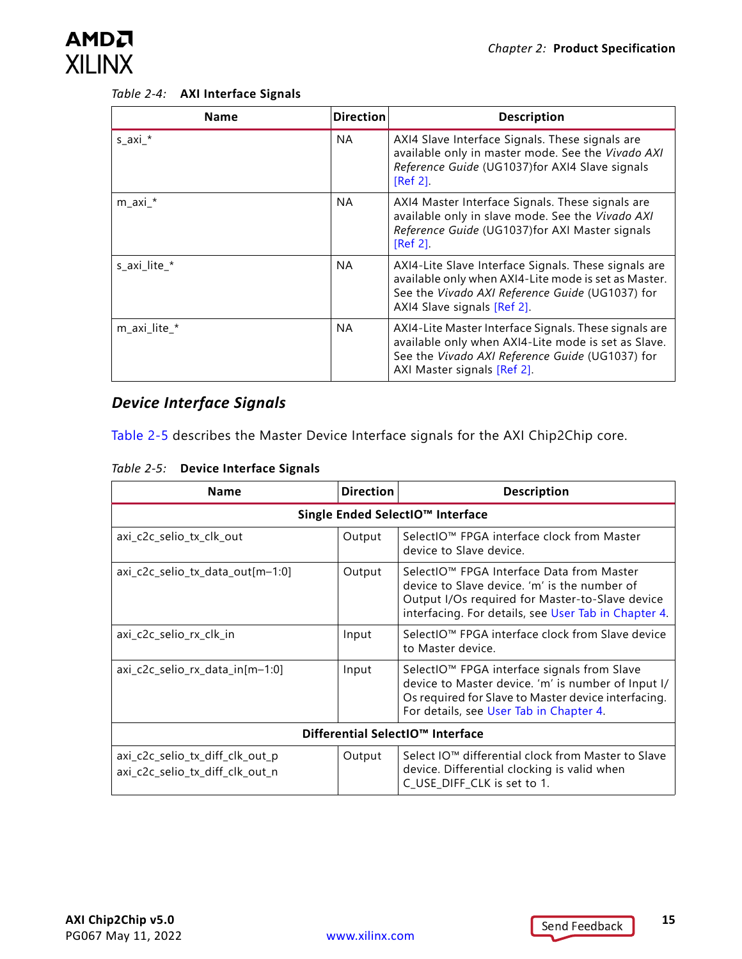

<span id="page-14-0"></span>

| Table 2-4: AXI Interface Signals |  |  |
|----------------------------------|--|--|
|                                  |  |  |

| <b>Name</b>  | <b>Direction</b> | <b>Description</b>                                                                                                                                                                             |
|--------------|------------------|------------------------------------------------------------------------------------------------------------------------------------------------------------------------------------------------|
| $s$ _axi_*   | <b>NA</b>        | AXI4 Slave Interface Signals. These signals are<br>available only in master mode. See the Vivado AXI<br>Reference Guide (UG1037)for AXI4 Slave signals<br>$[Ref 2]$ .                          |
| $m$ _axi_*   | <b>NA</b>        | AXI4 Master Interface Signals. These signals are<br>available only in slave mode. See the Vivado AXI<br>Reference Guide (UG1037)for AXI Master signals<br>$[Ref 2]$ .                          |
| s axi lite * | <b>NA</b>        | AXI4-Lite Slave Interface Signals. These signals are<br>available only when AXI4-Lite mode is set as Master.<br>See the Vivado AXI Reference Guide (UG1037) for<br>AXI4 Slave signals [Ref 2]. |
| m_axi_lite_* | <b>NA</b>        | AXI4-Lite Master Interface Signals. These signals are<br>available only when AXI4-Lite mode is set as Slave.<br>See the Vivado AXI Reference Guide (UG1037) for<br>AXI Master signals [Ref 2]. |

#### *Device Interface Signals*

[Table 2-5](#page-14-1) describes the Master Device Interface signals for the AXI Chip2Chip core.

<span id="page-14-1"></span>*Table 2-5:* **Device Interface Signals**

| <b>Name</b>                                                        | <b>Direction</b> | <b>Description</b>                                                                                                                                                                                              |  |  |
|--------------------------------------------------------------------|------------------|-----------------------------------------------------------------------------------------------------------------------------------------------------------------------------------------------------------------|--|--|
| Single Ended SelectIO™ Interface                                   |                  |                                                                                                                                                                                                                 |  |  |
| axi_c2c_selio_tx_clk_out                                           | Output           | SelectIO™ FPGA interface clock from Master<br>device to Slave device.                                                                                                                                           |  |  |
| $axi_c2c_selio_tx_data_out[m-1:0]$                                 | Output           | SelectIO™ FPGA Interface Data from Master<br>device to Slave device. 'm' is the number of<br>Output I/Os required for Master-to-Slave device<br>interfacing. For details, see User Tab in Chapter 4.            |  |  |
| axi_c2c_selio_rx_clk_in                                            | Input            | SelectIO™ FPGA interface clock from Slave device<br>to Master device.                                                                                                                                           |  |  |
| $axi_c2c_selio_rx_data_in[m-1:0]$                                  | Input            | SelectIO <sup>™</sup> FPGA interface signals from Slave<br>device to Master device. 'm' is number of Input I/<br>Os required for Slave to Master device interfacing.<br>For details, see User Tab in Chapter 4. |  |  |
| Differential SelectIO™ Interface                                   |                  |                                                                                                                                                                                                                 |  |  |
| axi_c2c_selio_tx_diff_clk_out_p<br>axi_c2c_selio_tx_diff_clk_out_n | Output           | Select IO™ differential clock from Master to Slave<br>device. Differential clocking is valid when<br>C_USE_DIFF_CLK is set to 1.                                                                                |  |  |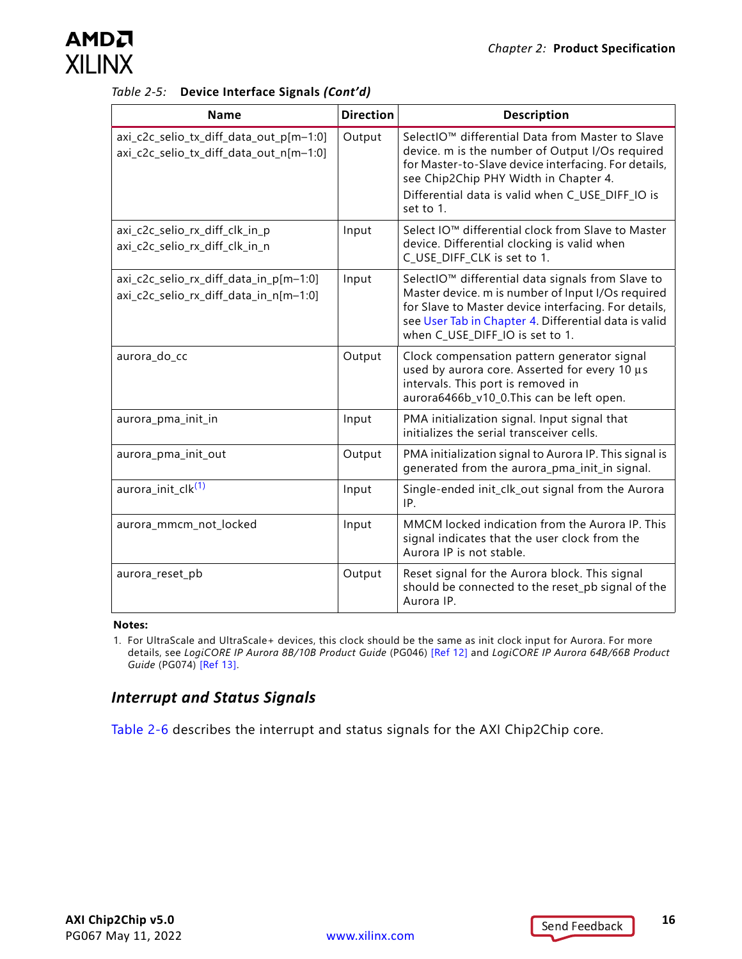| Table 2-5: Device Interface Signals (Cont'd) |  |  |  |  |
|----------------------------------------------|--|--|--|--|
|----------------------------------------------|--|--|--|--|

| <b>Name</b>                                                                        | <b>Direction</b> | <b>Description</b>                                                                                                                                                                                                                                                                |
|------------------------------------------------------------------------------------|------------------|-----------------------------------------------------------------------------------------------------------------------------------------------------------------------------------------------------------------------------------------------------------------------------------|
| axi_c2c_selio_tx_diff_data_out_p[m-1:0]<br>axi_c2c_selio_tx_diff_data_out_n[m-1:0] | Output           | SelectIO <sup>™</sup> differential Data from Master to Slave<br>device. m is the number of Output I/Os required<br>for Master-to-Slave device interfacing. For details,<br>see Chip2Chip PHY Width in Chapter 4.<br>Differential data is valid when C_USE_DIFF_IO is<br>set to 1. |
| axi_c2c_selio_rx_diff_clk_in_p<br>axi_c2c_selio_rx_diff_clk_in_n                   | Input            | Select IO™ differential clock from Slave to Master<br>device. Differential clocking is valid when<br>C_USE_DIFF_CLK is set to 1.                                                                                                                                                  |
| axi_c2c_selio_rx_diff_data_in_p[m-1:0]<br>axi_c2c_selio_rx_diff_data_in_n[m-1:0]   | Input            | SelectIO <sup>™</sup> differential data signals from Slave to<br>Master device. m is number of Input I/Os required<br>for Slave to Master device interfacing. For details,<br>see User Tab in Chapter 4. Differential data is valid<br>when C_USE_DIFF_IO is set to 1.            |
| aurora_do_cc                                                                       | Output           | Clock compensation pattern generator signal<br>used by aurora core. Asserted for every 10 µs<br>intervals. This port is removed in<br>aurora6466b_v10_0.This can be left open.                                                                                                    |
| aurora_pma_init_in                                                                 | Input            | PMA initialization signal. Input signal that<br>initializes the serial transceiver cells.                                                                                                                                                                                         |
| aurora_pma_init_out                                                                | Output           | PMA initialization signal to Aurora IP. This signal is<br>generated from the aurora_pma_init_in signal.                                                                                                                                                                           |
| aurora_init_clk <sup>(1)</sup>                                                     | Input            | Single-ended init_clk_out signal from the Aurora<br>IP.                                                                                                                                                                                                                           |
| aurora_mmcm_not_locked                                                             | Input            | MMCM locked indication from the Aurora IP. This<br>signal indicates that the user clock from the<br>Aurora IP is not stable.                                                                                                                                                      |
| aurora_reset_pb                                                                    | Output           | Reset signal for the Aurora block. This signal<br>should be connected to the reset_pb signal of the<br>Aurora IP.                                                                                                                                                                 |

#### **Notes:**

<span id="page-15-0"></span>1. For UltraScale and UltraScale+ devices, this clock should be the same as init clock input for Aurora. For more details, see *LogiCORE IP Aurora 8B/10B Product Guide* (PG046) [\[Ref 12\]](#page-51-2) and *LogiCORE IP Aurora 64B/66B Product Guide* (PG074) [\[Ref 13\]](#page-51-3).

#### *Interrupt and Status Signals*

[Table 2-6](#page-16-0) describes the interrupt and status signals for the AXI Chip2Chip core.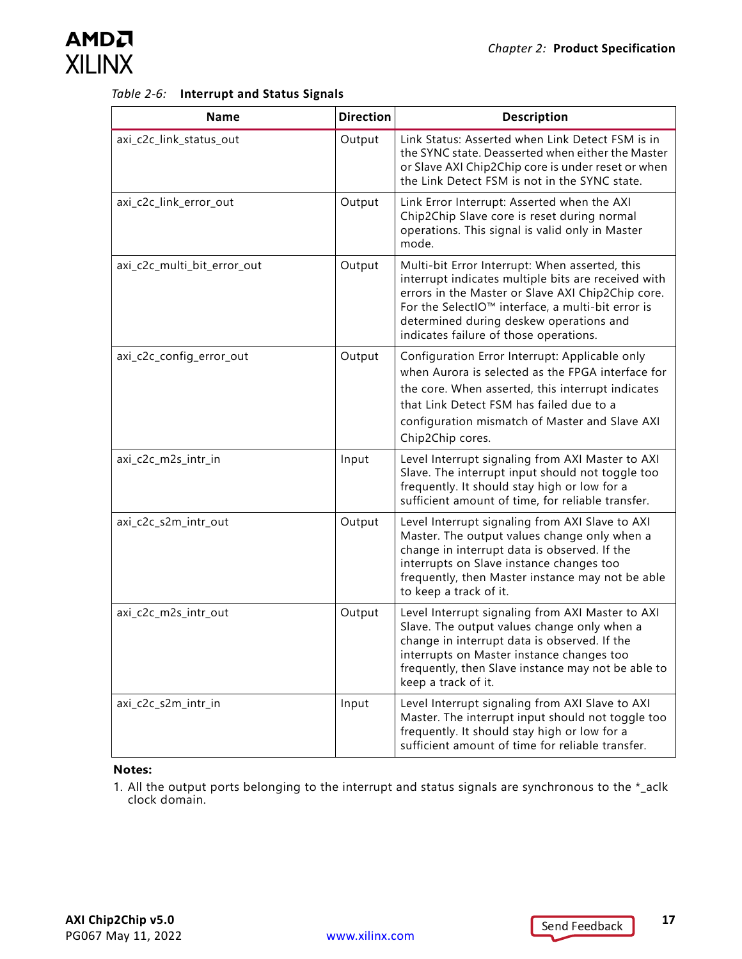

<span id="page-16-1"></span><span id="page-16-0"></span>

| Table 2-6: Interrupt and Status Signals |  |
|-----------------------------------------|--|
|                                         |  |

| <b>Name</b>                 | <b>Direction</b> | <b>Description</b>                                                                                                                                                                                                                                                                                   |
|-----------------------------|------------------|------------------------------------------------------------------------------------------------------------------------------------------------------------------------------------------------------------------------------------------------------------------------------------------------------|
| axi_c2c_link_status_out     | Output           | Link Status: Asserted when Link Detect FSM is in<br>the SYNC state. Deasserted when either the Master<br>or Slave AXI Chip2Chip core is under reset or when<br>the Link Detect FSM is not in the SYNC state.                                                                                         |
| axi_c2c_link_error_out      | Output           | Link Error Interrupt: Asserted when the AXI<br>Chip2Chip Slave core is reset during normal<br>operations. This signal is valid only in Master<br>mode.                                                                                                                                               |
| axi_c2c_multi_bit_error_out | Output           | Multi-bit Error Interrupt: When asserted, this<br>interrupt indicates multiple bits are received with<br>errors in the Master or Slave AXI Chip2Chip core.<br>For the SelectIO™ interface, a multi-bit error is<br>determined during deskew operations and<br>indicates failure of those operations. |
| axi_c2c_config_error_out    | Output           | Configuration Error Interrupt: Applicable only<br>when Aurora is selected as the FPGA interface for<br>the core. When asserted, this interrupt indicates<br>that Link Detect FSM has failed due to a<br>configuration mismatch of Master and Slave AXI<br>Chip2Chip cores.                           |
| axi_c2c_m2s_intr_in         | Input            | Level Interrupt signaling from AXI Master to AXI<br>Slave. The interrupt input should not toggle too<br>frequently. It should stay high or low for a<br>sufficient amount of time, for reliable transfer.                                                                                            |
| axi_c2c_s2m_intr_out        | Output           | Level Interrupt signaling from AXI Slave to AXI<br>Master. The output values change only when a<br>change in interrupt data is observed. If the<br>interrupts on Slave instance changes too<br>frequently, then Master instance may not be able<br>to keep a track of it.                            |
| axi_c2c_m2s_intr_out        | Output           | Level Interrupt signaling from AXI Master to AXI<br>Slave. The output values change only when a<br>change in interrupt data is observed. If the<br>interrupts on Master instance changes too<br>frequently, then Slave instance may not be able to<br>keep a track of it.                            |
| axi_c2c_s2m_intr_in         | Input            | Level Interrupt signaling from AXI Slave to AXI<br>Master. The interrupt input should not toggle too<br>frequently. It should stay high or low for a<br>sufficient amount of time for reliable transfer.                                                                                             |

#### **Notes:**

1. All the output ports belonging to the interrupt and status signals are synchronous to the \*\_aclk clock domain.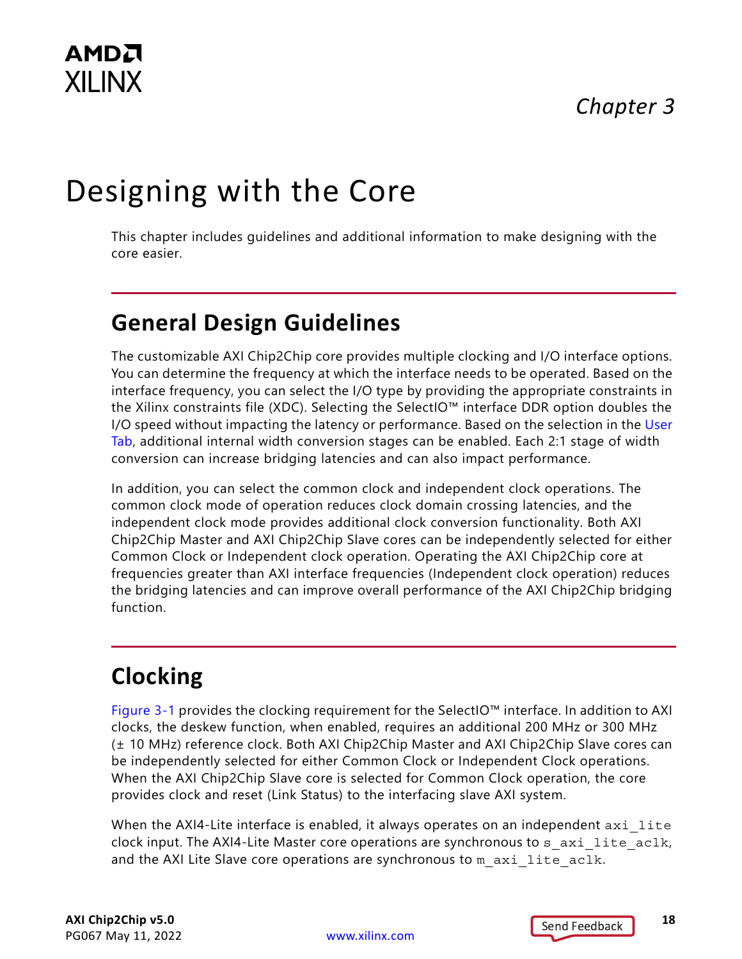## *Chapter 3*

# <span id="page-17-0"></span>Designing with the Core

This chapter includes guidelines and additional information to make designing with the core easier.

## <span id="page-17-4"></span><span id="page-17-1"></span>**General Design Guidelines**

The customizable AXI Chip2Chip core provides multiple clocking and I/O interface options. You can determine the frequency at which the interface needs to be operated. Based on the interface frequency, you can select the I/O type by providing the appropriate constraints in the Xilinx constraints file (XDC). Selecting the SelectIO™ interface DDR option doubles the I/O speed without impacting the latency or performance. Based on the selection in the [User](#page-29-0)  [Tab,](#page-29-0) additional internal width conversion stages can be enabled. Each 2:1 stage of width conversion can increase bridging latencies and can also impact performance.

In addition, you can select the common clock and independent clock operations. The common clock mode of operation reduces clock domain crossing latencies, and the independent clock mode provides additional clock conversion functionality. Both AXI Chip2Chip Master and AXI Chip2Chip Slave cores can be independently selected for either Common Clock or Independent clock operation. Operating the AXI Chip2Chip core at frequencies greater than AXI interface frequencies (Independent clock operation) reduces the bridging latencies and can improve overall performance of the AXI Chip2Chip bridging function.

## <span id="page-17-3"></span><span id="page-17-2"></span>**Clocking**

[Figure 3-1](#page-18-0) provides the clocking requirement for the SelectIO™ interface. In addition to AXI clocks, the deskew function, when enabled, requires an additional 200 MHz or 300 MHz (± 10 MHz) reference clock. Both AXI Chip2Chip Master and AXI Chip2Chip Slave cores can be independently selected for either Common Clock or Independent Clock operations. When the AXI Chip2Chip Slave core is selected for Common Clock operation, the core provides clock and reset (Link Status) to the interfacing slave AXI system.

When the AXI4-Lite interface is enabled, it always operates on an independent axi lite clock input. The AXI4-Lite Master core operations are synchronous to  $s$  axi lite aclk, and the AXI Lite Slave core operations are synchronous to  $m$  axi lite aclk.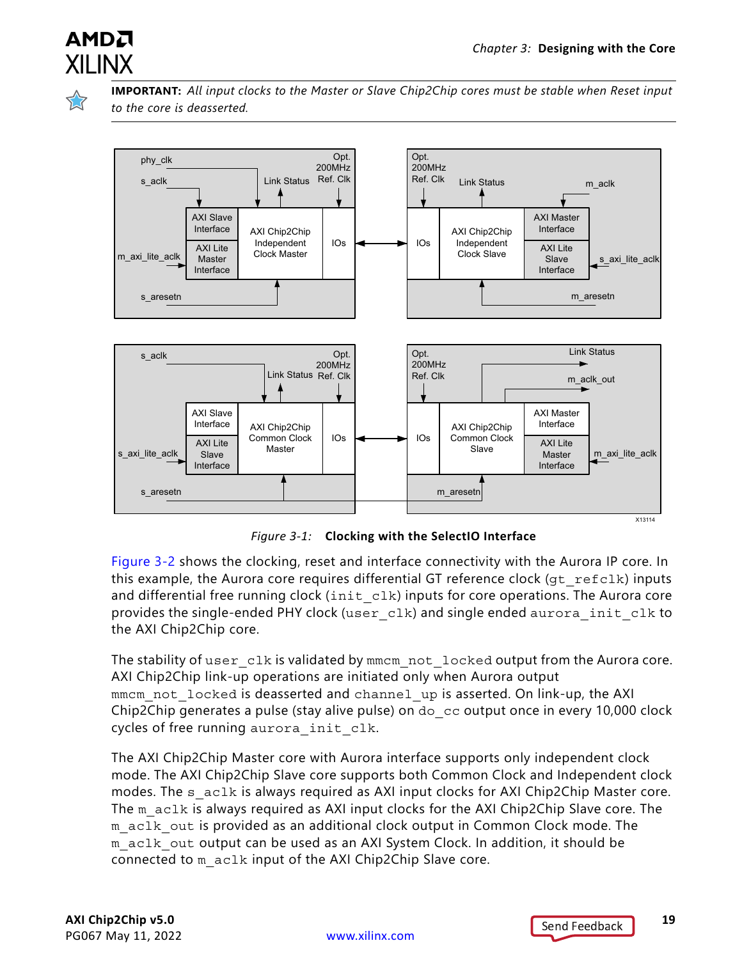

**IMPORTANT:** *All input clocks to the Master or Slave Chip2Chip cores must be stable when Reset input to the core is deasserted.*

<span id="page-18-0"></span>

*Figure 3-1:* **Clocking with the SelectIO Interface**

[Figure 3-2](#page-19-2) shows the clocking, reset and interface connectivity with the Aurora IP core. In this example, the Aurora core requires differential GT reference clock ( $gt$  refclk) inputs and differential free running clock  $(int c1k)$  inputs for core operations. The Aurora core provides the single-ended PHY clock (user\_clk) and single ended aurora\_init\_clk to the AXI Chip2Chip core.

The stability of user  $c1k$  is validated by mmcm not  $l$  locked output from the Aurora core. AXI Chip2Chip link-up operations are initiated only when Aurora output mmcm not locked is deasserted and channel up is asserted. On link-up, the AXI Chip2Chip generates a pulse (stay alive pulse) on do\_cc output once in every 10,000 clock cycles of free running aurora init clk.

The AXI Chip2Chip Master core with Aurora interface supports only independent clock mode. The AXI Chip2Chip Slave core supports both Common Clock and Independent clock modes. The s aclk is always required as AXI input clocks for AXI Chip2Chip Master core. The m\_aclk is always required as AXI input clocks for the AXI Chip2Chip Slave core. The m aclk out is provided as an additional clock output in Common Clock mode. The m aclk out output can be used as an AXI System Clock. In addition, it should be connected to m\_aclk input of the AXI Chip2Chip Slave core.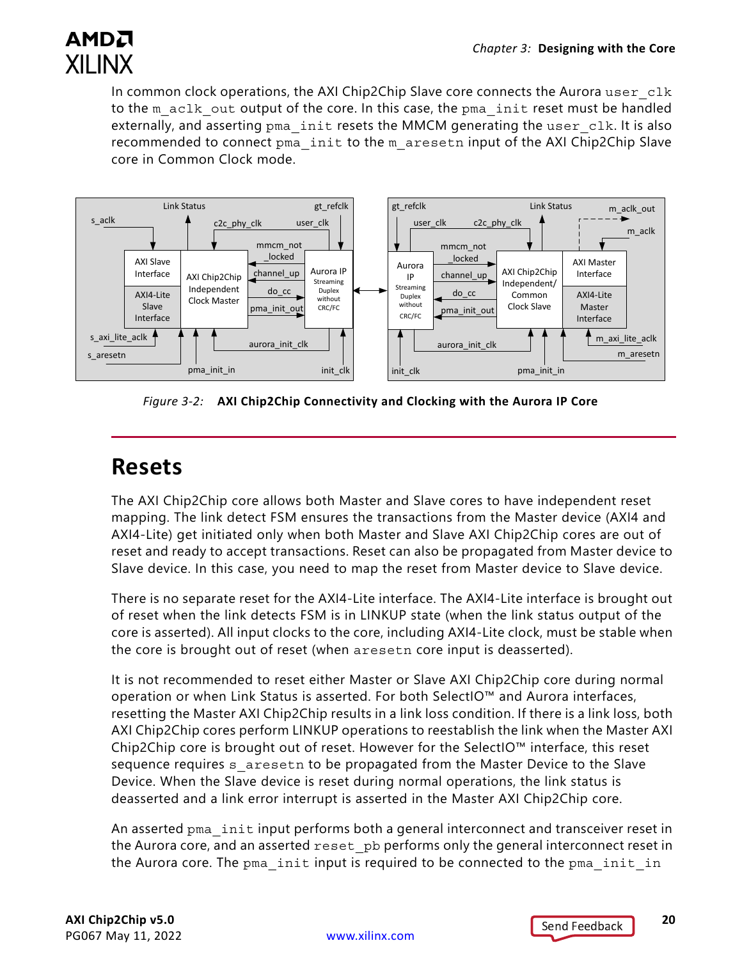

In common clock operations, the AXI Chip2Chip Slave core connects the Aurora user  $c1k$ to the m\_aclk\_out output of the core. In this case, the pma\_init reset must be handled externally, and asserting pma init resets the MMCM generating the user clk. It is also recommended to connect pma\_init to the m\_aresetn input of the AXI Chip2Chip Slave core in Common Clock mode.

<span id="page-19-2"></span>

*Figure 3-2:* **AXI Chip2Chip Connectivity and Clocking with the Aurora IP Core**

## <span id="page-19-1"></span><span id="page-19-0"></span>**Resets**

The AXI Chip2Chip core allows both Master and Slave cores to have independent reset mapping. The link detect FSM ensures the transactions from the Master device (AXI4 and AXI4-Lite) get initiated only when both Master and Slave AXI Chip2Chip cores are out of reset and ready to accept transactions. Reset can also be propagated from Master device to Slave device. In this case, you need to map the reset from Master device to Slave device.

There is no separate reset for the AXI4-Lite interface. The AXI4-Lite interface is brought out of reset when the link detects FSM is in LINKUP state (when the link status output of the core is asserted). All input clocks to the core, including AXI4-Lite clock, must be stable when the core is brought out of reset (when aresetn core input is deasserted).

It is not recommended to reset either Master or Slave AXI Chip2Chip core during normal operation or when Link Status is asserted. For both SelectIO™ and Aurora interfaces, resetting the Master AXI Chip2Chip results in a link loss condition. If there is a link loss, both AXI Chip2Chip cores perform LINKUP operations to reestablish the link when the Master AXI Chip2Chip core is brought out of reset. However for the SelectIO™ interface, this reset sequence requires s aresetn to be propagated from the Master Device to the Slave Device. When the Slave device is reset during normal operations, the link status is deasserted and a link error interrupt is asserted in the Master AXI Chip2Chip core.

An asserted pma init input performs both a general interconnect and transceiver reset in the Aurora core, and an asserted reset pb performs only the general interconnect reset in the Aurora core. The pma init input is required to be connected to the pma init in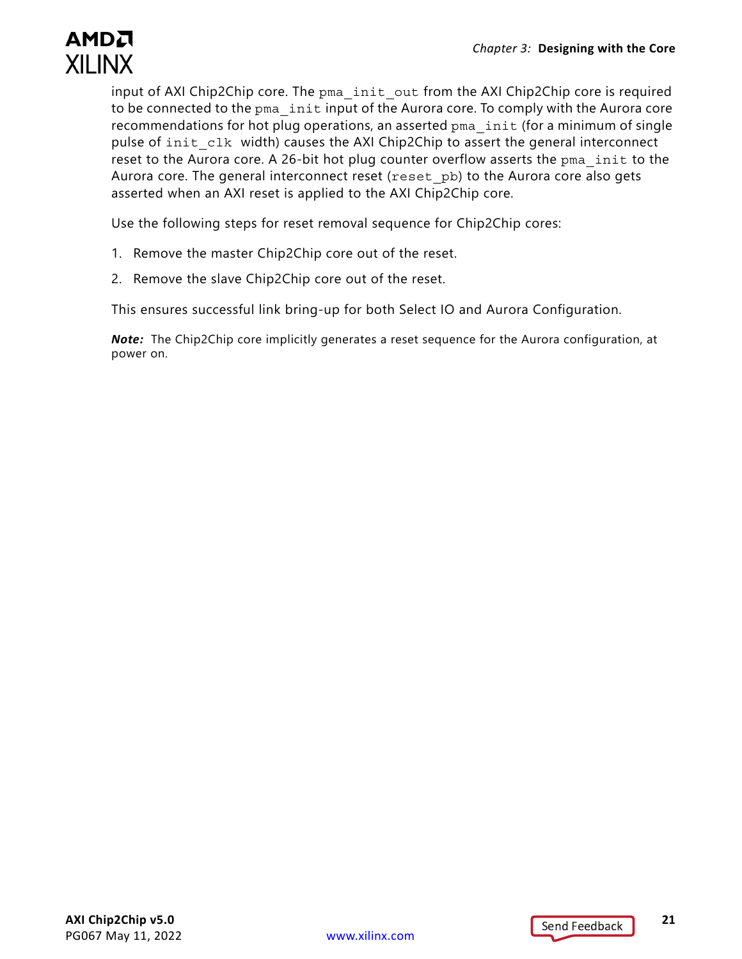

input of AXI Chip2Chip core. The pma\_init\_out from the AXI Chip2Chip core is required to be connected to the pma init input of the Aurora core. To comply with the Aurora core recommendations for hot plug operations, an asserted pma init (for a minimum of single pulse of init clk width) causes the AXI Chip2Chip to assert the general interconnect reset to the Aurora core. A 26-bit hot plug counter overflow asserts the pma init to the Aurora core. The general interconnect reset (reset pb) to the Aurora core also gets asserted when an AXI reset is applied to the AXI Chip2Chip core.

Use the following steps for reset removal sequence for Chip2Chip cores:

- 1. Remove the master Chip2Chip core out of the reset.
- 2. Remove the slave Chip2Chip core out of the reset.

This ensures successful link bring-up for both Select IO and Aurora Configuration.

*Note:* The Chip2Chip core implicitly generates a reset sequence for the Aurora configuration, at power on.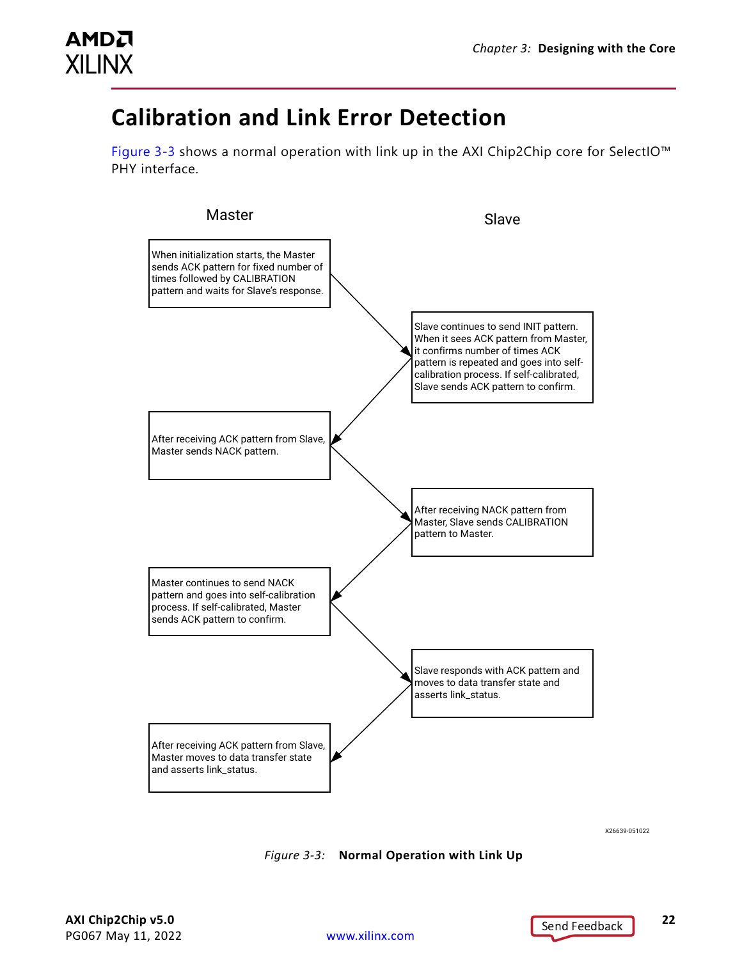

## <span id="page-21-1"></span><span id="page-21-0"></span>**Calibration and Link Error Detection**

[Figure 3-3](#page-21-2) shows a normal operation with link up in the AXI Chip2Chip core for SelectIO<sup>™</sup> PHY interface.



X26639-051022

<span id="page-21-2"></span>*Figure 3-3:* **Normal Operation with Link Up**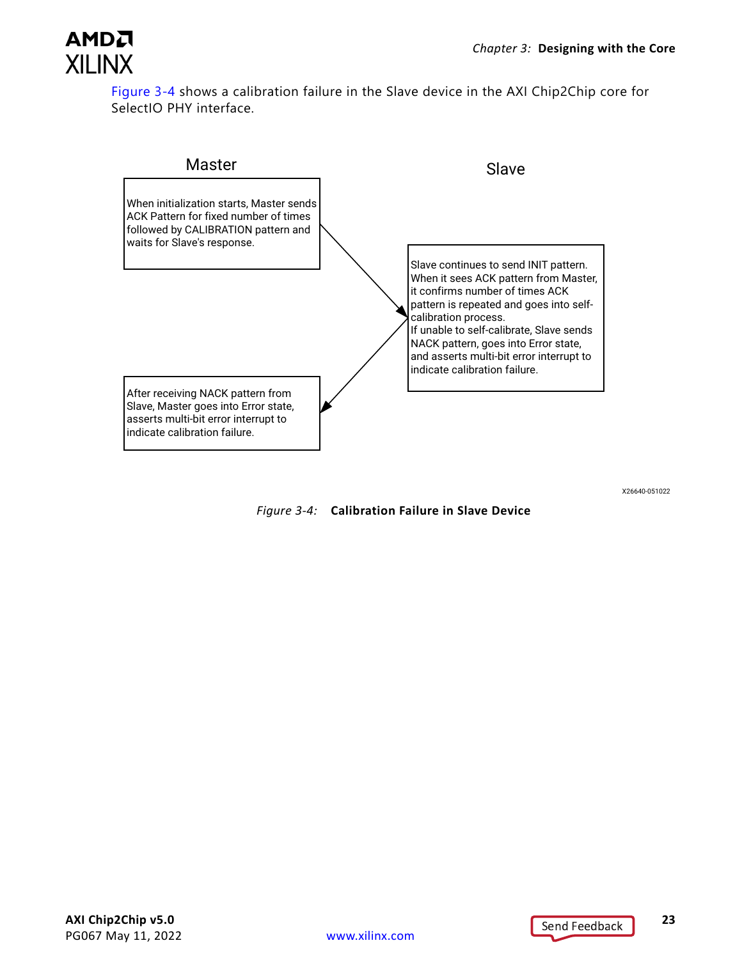

[Figure 3-4](#page-22-0) shows a calibration failure in the Slave device in the AXI Chip2Chip core for SelectIO PHY interface.



X26640-051022

<span id="page-22-0"></span>*Figure 3-4:* **Calibration Failure in Slave Device**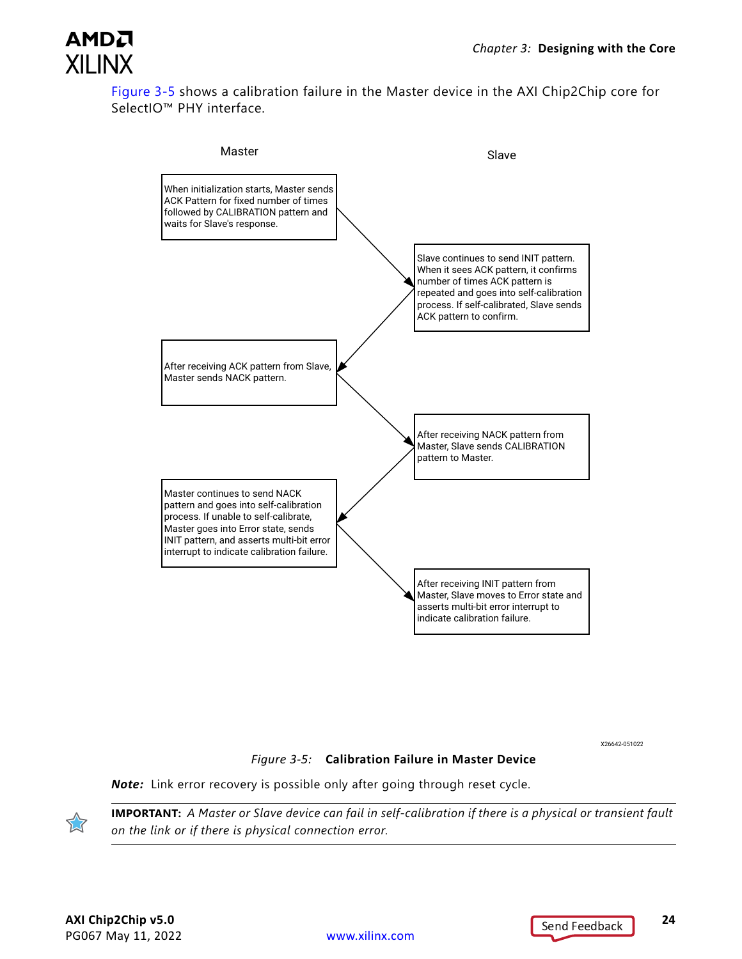

[Figure 3-5](#page-23-0) shows a calibration failure in the Master device in the AXI Chip2Chip core for SelectIO<sup>™</sup> PHY interface.



X26642-051022

#### *Figure 3-5:* **Calibration Failure in Master Device**

<span id="page-23-0"></span>*Note:* Link error recovery is possible only after going through reset cycle.



**IMPORTANT:** *A Master or Slave device can fail in self-calibration if there is a physical or transient fault on the link or if there is physical connection error.*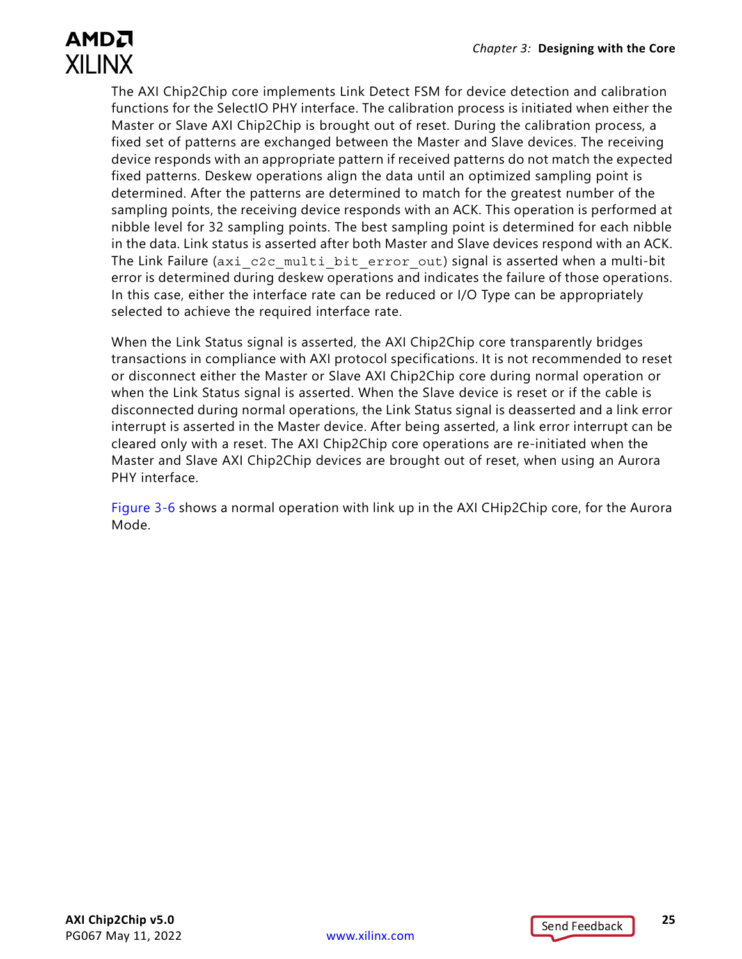The AXI Chip2Chip core implements Link Detect FSM for device detection and calibration functions for the SelectIO PHY interface. The calibration process is initiated when either the Master or Slave AXI Chip2Chip is brought out of reset. During the calibration process, a fixed set of patterns are exchanged between the Master and Slave devices. The receiving device responds with an appropriate pattern if received patterns do not match the expected fixed patterns. Deskew operations align the data until an optimized sampling point is determined. After the patterns are determined to match for the greatest number of the sampling points, the receiving device responds with an ACK. This operation is performed at nibble level for 32 sampling points. The best sampling point is determined for each nibble in the data. Link status is asserted after both Master and Slave devices respond with an ACK. The Link Failure (axi c2c\_multi\_bit\_error\_out) signal is asserted when a multi-bit error is determined during deskew operations and indicates the failure of those operations. In this case, either the interface rate can be reduced or I/O Type can be appropriately selected to achieve the required interface rate.

When the Link Status signal is asserted, the AXI Chip2Chip core transparently bridges transactions in compliance with AXI protocol specifications. It is not recommended to reset or disconnect either the Master or Slave AXI Chip2Chip core during normal operation or when the Link Status signal is asserted. When the Slave device is reset or if the cable is disconnected during normal operations, the Link Status signal is deasserted and a link error interrupt is asserted in the Master device. After being asserted, a link error interrupt can be cleared only with a reset. The AXI Chip2Chip core operations are re-initiated when the Master and Slave AXI Chip2Chip devices are brought out of reset, when using an Aurora PHY interface.

[Figure 3-6](#page-25-0) shows a normal operation with link up in the AXI CHip2Chip core, for the Aurora Mode.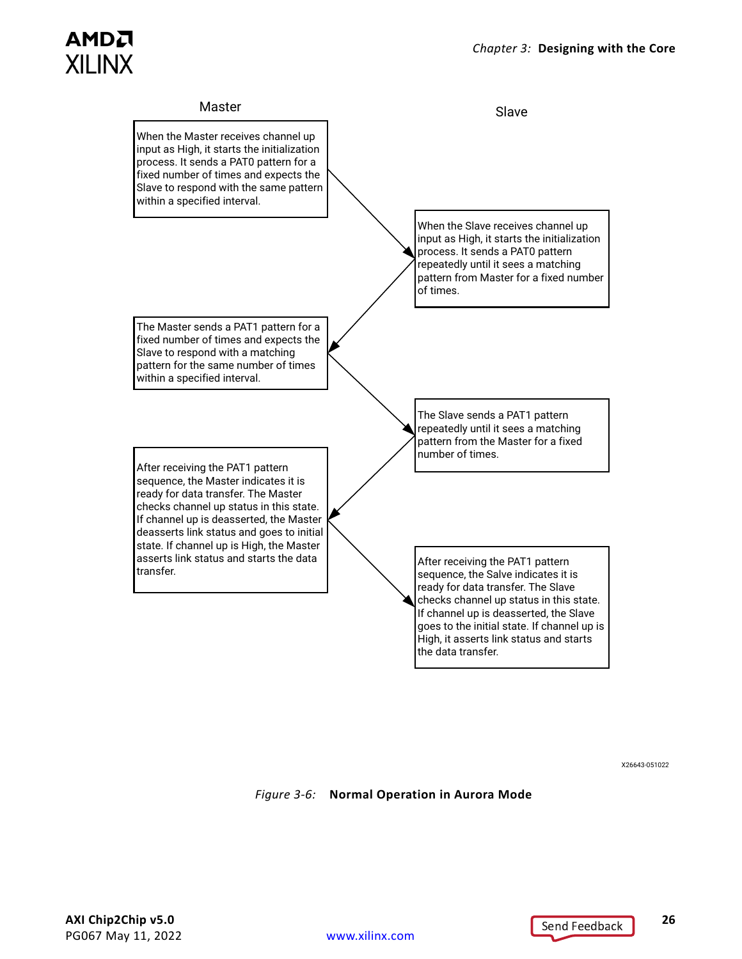

X26643-051022

<span id="page-25-0"></span>*Figure 3-6:* **Normal Operation in Aurora Mode**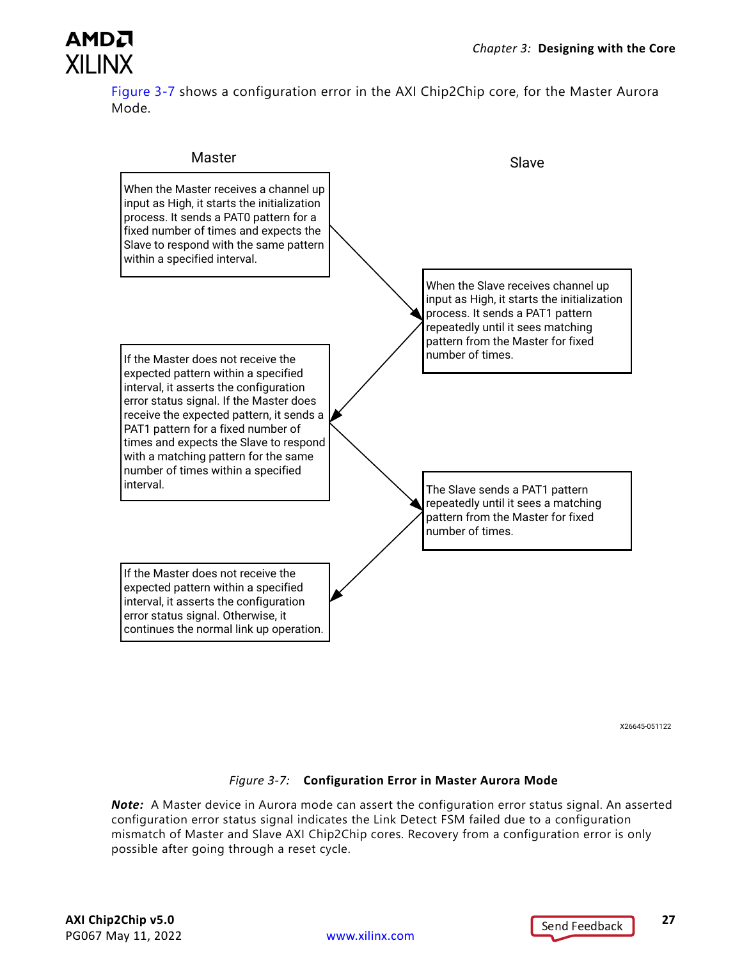

[Figure 3-7](#page-26-0) shows a configuration error in the AXI Chip2Chip core, for the Master Aurora Mode.



X26645-051122

#### *Figure 3-7:* **Configuration Error in Master Aurora Mode**

<span id="page-26-0"></span>*Note:* A Master device in Aurora mode can assert the configuration error status signal. An asserted configuration error status signal indicates the Link Detect FSM failed due to a configuration mismatch of Master and Slave AXI Chip2Chip cores. Recovery from a configuration error is only possible after going through a reset cycle.

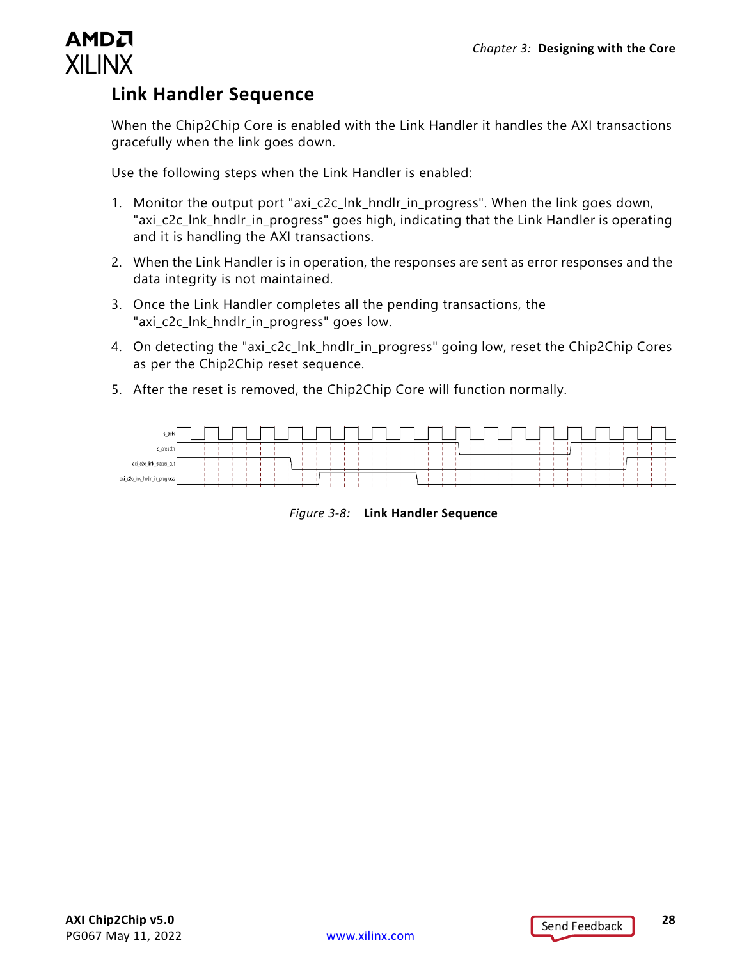### <span id="page-27-0"></span>**Link Handler Sequence**

When the Chip2Chip Core is enabled with the Link Handler it handles the AXI transactions gracefully when the link goes down.

Use the following steps when the Link Handler is enabled:

- 1. Monitor the output port "axi\_c2c\_lnk\_hndlr\_in\_progress". When the link goes down, "axi\_c2c\_lnk\_hndlr\_in\_progress" goes high, indicating that the Link Handler is operating and it is handling the AXI transactions.
- 2. When the Link Handler is in operation, the responses are sent as error responses and the data integrity is not maintained.
- 3. Once the Link Handler completes all the pending transactions, the "axi\_c2c\_lnk\_hndlr\_in\_progress" goes low.
- 4. On detecting the "axi c2c\_lnk\_hndlr\_in\_progress" going low, reset the Chip2Chip Cores as per the Chip2Chip reset sequence.
- 5. After the reset is removed, the Chip2Chip Core will function normally.



*Figure 3-8:* **Link Handler Sequence**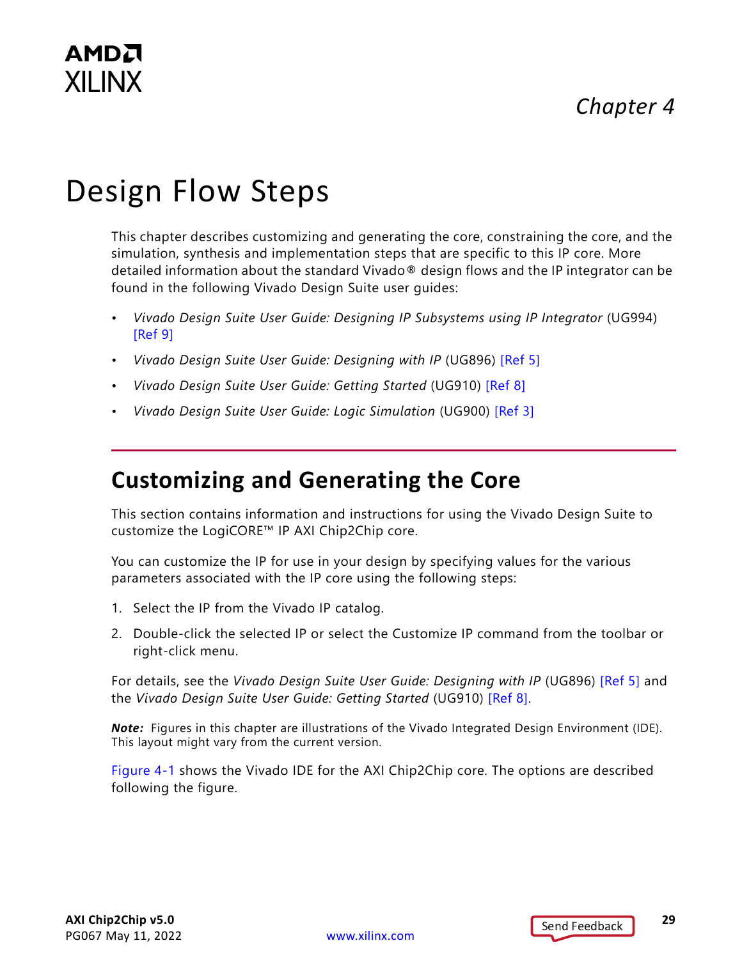# <span id="page-28-0"></span>Design Flow Steps

This chapter describes customizing and generating the core, constraining the core, and the simulation, synthesis and implementation steps that are specific to this IP core. More detailed information about the standard Vivado® design flows and the IP integrator can be found in the following Vivado Design Suite user guides:

- *Vivado Design Suite User Guide: Designing IP Subsystems using IP Integrator* (UG994) [\[Ref 9\]](#page-51-7)
- *Vivado Design Suite User Guide: Designing with IP* (UG896) [\[Ref 5\]](#page-51-1)
- *Vivado Design Suite User Guide: Getting Started* (UG910) [\[Ref 8\]](#page-51-6)
- *Vivado Design Suite User Guide: Logic Simulation* (UG900) [\[Ref 3\]](#page-51-8)

## <span id="page-28-2"></span><span id="page-28-1"></span>**Customizing and Generating the Core**

This section contains information and instructions for using the Vivado Design Suite to customize the LogiCORE™ IP AXI Chip2Chip core.

You can customize the IP for use in your design by specifying values for the various parameters associated with the IP core using the following steps:

- 1. Select the IP from the Vivado IP catalog.
- 2. Double-click the selected IP or select the Customize IP command from the toolbar or right-click menu.

For details, see the *Vivado Design Suite User Guide: Designing with IP* (UG896) [\[Ref 5\]](#page-51-1) and the *Vivado Design Suite User Guide: Getting Started* (UG910) [\[Ref 8\]](#page-51-6).

*Note:* Figures in this chapter are illustrations of the Vivado Integrated Design Environment (IDE). This layout might vary from the current version.

[Figure 4-1](#page-29-1) shows the Vivado IDE for the AXI Chip2Chip core. The options are described following the figure.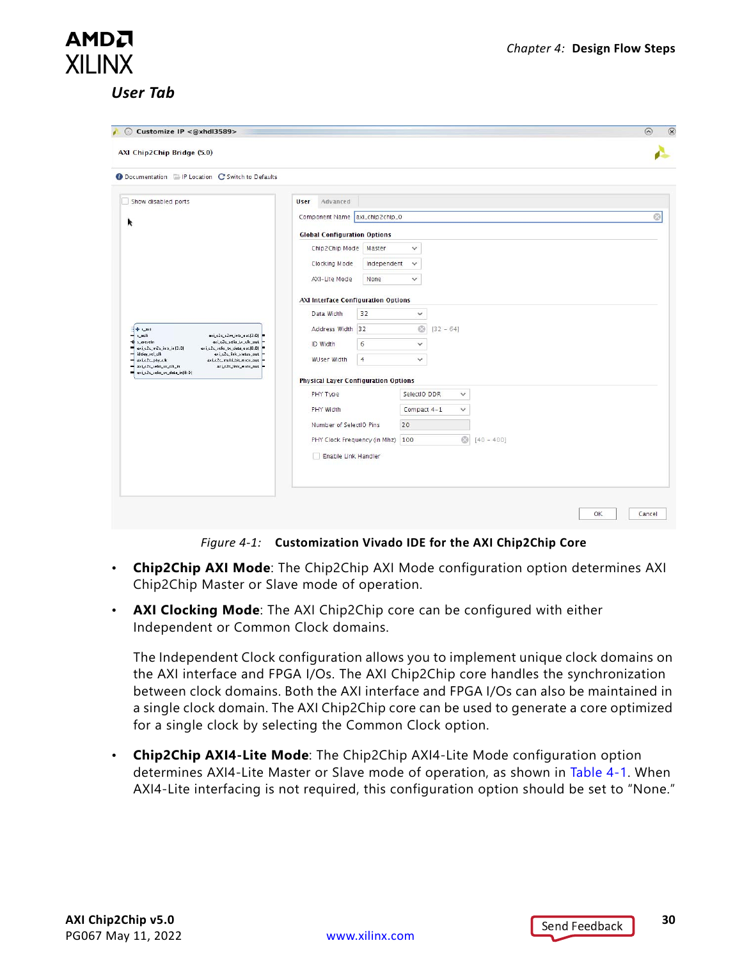#### <span id="page-29-0"></span>*User Tab*

AMDA **XILINX** 

<span id="page-29-1"></span>

| Customize IP <@xhdl3589><br>A<br>AXI Chip2Chip Bridge (5.0)                                                                                                                                                                                                                                                                                   |                                                                                                                                                                   |                                                                                              | $\circ$<br>$\odot$ |
|-----------------------------------------------------------------------------------------------------------------------------------------------------------------------------------------------------------------------------------------------------------------------------------------------------------------------------------------------|-------------------------------------------------------------------------------------------------------------------------------------------------------------------|----------------------------------------------------------------------------------------------|--------------------|
| <b>O</b> Documentation <b>E</b> IP Location C Switch to Defaults                                                                                                                                                                                                                                                                              |                                                                                                                                                                   |                                                                                              |                    |
| Show disabled ports<br>k                                                                                                                                                                                                                                                                                                                      | Advanced<br><b>User</b><br>Component Name   axi_chip2chip_0                                                                                                       |                                                                                              | $\circledcirc$     |
|                                                                                                                                                                                                                                                                                                                                               | <b>Global Configuration Options</b><br>Chip2Chip Mode<br>Master<br>Clocking Mode<br>Independent<br>AXI-Lite Mode<br>None                                          | $\checkmark$<br>$\checkmark$<br>v                                                            |                    |
| $+$ spaxi<br>s_aclk<br>axi_c2c_s2m_intr_out 3:D   <br>axi_c2c_selia_tx_clk_aut<br>s_aresetn<br>axi_c2c_m2s_intr_in(3:D)<br>axi_c2c_selio_tx_data_out 8:D   <br>idelay_rel_clk<br>axi_c2c_link_status_out<br>axi_c2c_multi_bit_enar_aut<br>axi_c2c_phy_clk<br>axi_c2c_selia_sx_clk_in<br>axi_c2c_link_enor_out<br>axi_c2c_selio_ux_data_in B:D | <b>AXI Interface Configuration Options</b><br>Data Width<br>32<br>Address Width 32<br>$\epsilon$<br>ID Width<br>$\overline{4}$<br><b>WUser Width</b>              | $\checkmark$<br>$\odot$<br>$[32 - 64]$<br>$\checkmark$<br>$\checkmark$                       |                    |
|                                                                                                                                                                                                                                                                                                                                               | <b>Physical Layer Configuration Options</b><br>PHY Type<br><b>PHY Width</b><br>Number of SelectiO Pins<br>PHY Clock Frequency (in Mhz) 100<br>Enable Link Handler | SelectiO DDR<br>$\checkmark$<br>Compact 4-1<br>$\checkmark$<br>20<br>$\odot$<br>$[40 - 400]$ |                    |
|                                                                                                                                                                                                                                                                                                                                               |                                                                                                                                                                   |                                                                                              | 0K<br>Cancel       |

*Figure 4-1:* **Customization Vivado IDE for the AXI Chip2Chip Core**

- **Chip2Chip AXI Mode**: The Chip2Chip AXI Mode configuration option determines AXI Chip2Chip Master or Slave mode of operation.
- **AXI Clocking Mode**: The AXI Chip2Chip core can be configured with either Independent or Common Clock domains.

The Independent Clock configuration allows you to implement unique clock domains on the AXI interface and FPGA I/Os. The AXI Chip2Chip core handles the synchronization between clock domains. Both the AXI interface and FPGA I/Os can also be maintained in a single clock domain. The AXI Chip2Chip core can be used to generate a core optimized for a single clock by selecting the Common Clock option.

• **Chip2Chip AXI4-Lite Mode**: The Chip2Chip AXI4-Lite Mode configuration option determines AXI4-Lite Master or Slave mode of operation, as shown in [Table 4-1.](#page-30-0) When AXI4-Lite interfacing is not required, this configuration option should be set to "None."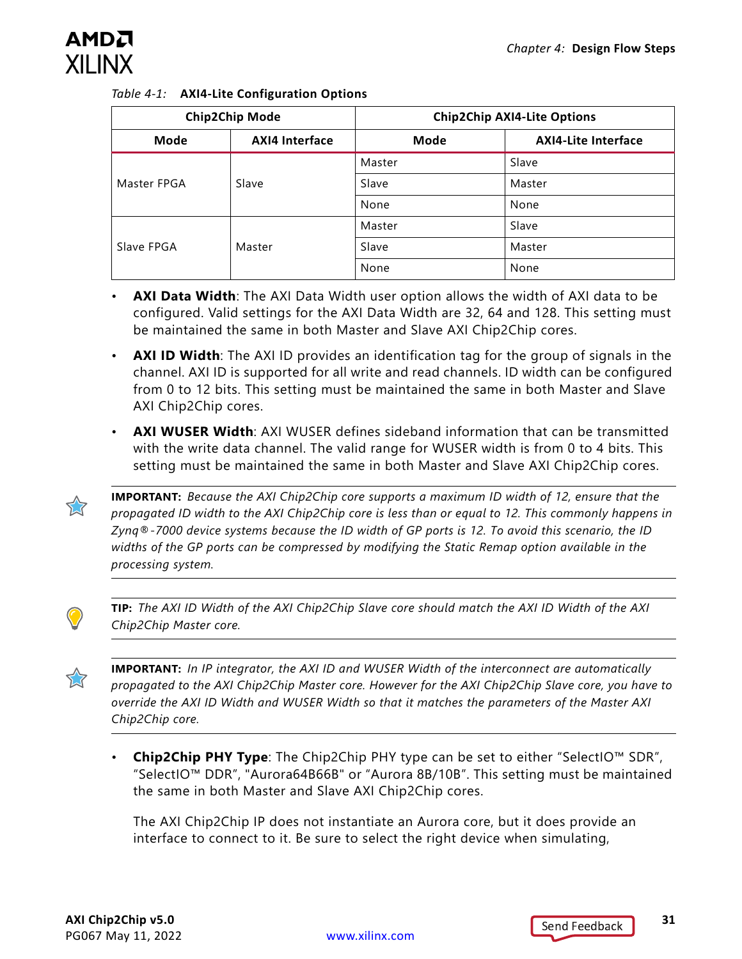

<span id="page-30-0"></span>

|  |  | Table 4-1: AXI4-Lite Configuration Options |  |
|--|--|--------------------------------------------|--|
|--|--|--------------------------------------------|--|

|             | <b>Chip2Chip Mode</b> | <b>Chip2Chip AXI4-Lite Options</b> |                            |
|-------------|-----------------------|------------------------------------|----------------------------|
| <b>Mode</b> | <b>AXI4 Interface</b> | Mode                               | <b>AXI4-Lite Interface</b> |
|             |                       | Master                             | Slave                      |
| Master FPGA | Slave                 | Slave                              | Master                     |
|             |                       | None                               | None                       |
|             |                       | Master                             | Slave                      |
| Slave FPGA  | Master                | Slave                              | Master                     |
|             |                       | None                               | None                       |

- **AXI Data Width**: The AXI Data Width user option allows the width of AXI data to be configured. Valid settings for the AXI Data Width are 32, 64 and 128. This setting must be maintained the same in both Master and Slave AXI Chip2Chip cores.
- **AXI ID Width**: The AXI ID provides an identification tag for the group of signals in the channel. AXI ID is supported for all write and read channels. ID width can be configured from 0 to 12 bits. This setting must be maintained the same in both Master and Slave AXI Chip2Chip cores.
- **AXI WUSER Width**: AXI WUSER defines sideband information that can be transmitted with the write data channel. The valid range for WUSER width is from 0 to 4 bits. This setting must be maintained the same in both Master and Slave AXI Chip2Chip cores.



**IMPORTANT:** *Because the AXI Chip2Chip core supports a maximum ID width of 12, ensure that the propagated ID width to the AXI Chip2Chip core is less than or equal to 12. This commonly happens in Zynq®-7000 device systems because the ID width of GP ports is 12. To avoid this scenario, the ID widths of the GP ports can be compressed by modifying the Static Remap option available in the processing system.*



**TIP:** *The AXI ID Width of the AXI Chip2Chip Slave core should match the AXI ID Width of the AXI Chip2Chip Master core.* 

X

**IMPORTANT:** *In IP integrator, the AXI ID and WUSER Width of the interconnect are automatically propagated to the AXI Chip2Chip Master core. However for the AXI Chip2Chip Slave core, you have to override the AXI ID Width and WUSER Width so that it matches the parameters of the Master AXI Chip2Chip core.*

• **Chip2Chip PHY Type**: The Chip2Chip PHY type can be set to either "SelectIO™ SDR", "SelectIO™ DDR", "Aurora64B66B" or "Aurora 8B/10B". This setting must be maintained the same in both Master and Slave AXI Chip2Chip cores.

The AXI Chip2Chip IP does not instantiate an Aurora core, but it does provide an interface to connect to it. Be sure to select the right device when simulating,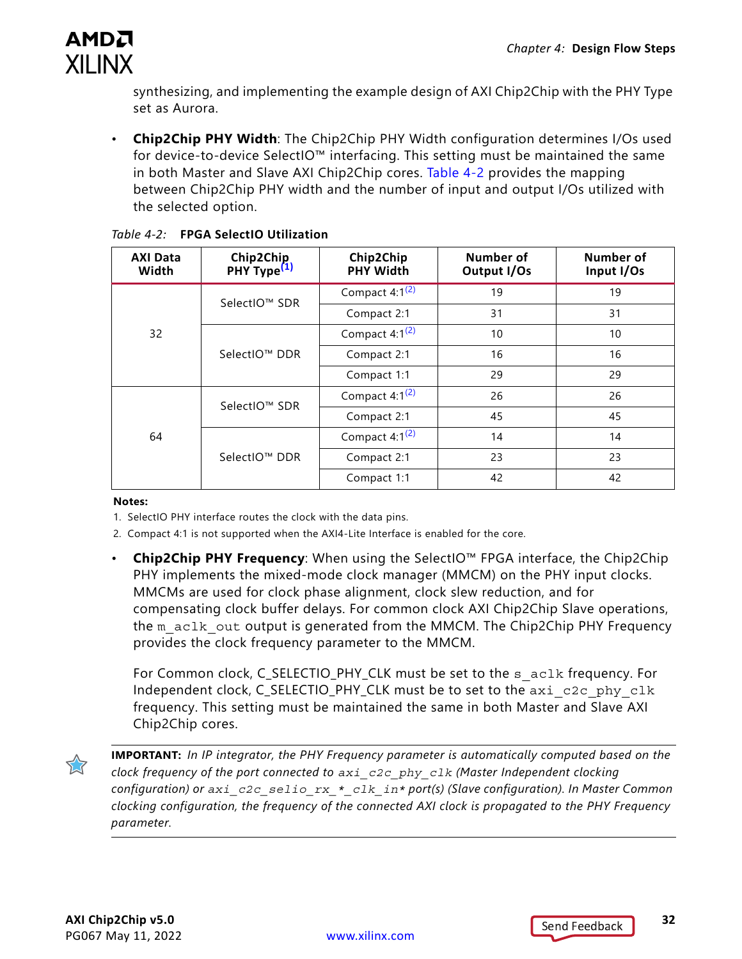

synthesizing, and implementing the example design of AXI Chip2Chip with the PHY Type set as Aurora.

• **Chip2Chip PHY Width**: The Chip2Chip PHY Width configuration determines I/Os used for device-to-device SelectIO™ interfacing. This setting must be maintained the same in both Master and Slave AXI Chip2Chip cores. [Table 4-2](#page-31-3) provides the mapping between Chip2Chip PHY width and the number of input and output I/Os utilized with the selected option.

| <b>AXI Data</b><br>Width | Chip2Chip<br>PHY Type <sup>(1)</sup> | Chip2Chip<br><b>PHY Width</b> | Number of<br>Output I/Os | Number of<br>Input I/Os |
|--------------------------|--------------------------------------|-------------------------------|--------------------------|-------------------------|
|                          | SelectIO™ SDR                        | Compact $4:1^{(2)}$           | 19                       | 19                      |
|                          |                                      | Compact 2:1                   | 31                       | 31                      |
| 32                       |                                      | Compact $4:1^{(2)}$           | 10                       | 10                      |
|                          | SelectIO™ DDR                        | Compact 2:1                   | 16                       | 16                      |
|                          |                                      | Compact 1:1                   | 29                       | 29                      |
|                          | SelectIO™ SDR                        | Compact $4:1^{(2)}$           | 26                       | 26                      |
|                          |                                      | Compact 2:1                   | 45                       | 45                      |
| 64                       |                                      | Compact $4:1^{(2)}$           | 14                       | 14                      |
|                          | SelectIO™ DDR                        | Compact 2:1                   | 23                       | 23                      |
|                          |                                      | Compact 1:1                   | 42                       | 42                      |

#### <span id="page-31-3"></span><span id="page-31-0"></span>*Table 4-2:* **FPGA SelectIO Utilization**

#### **Notes:**

- <span id="page-31-1"></span>1. SelectIO PHY interface routes the clock with the data pins.
- <span id="page-31-2"></span>2. Compact 4:1 is not supported when the AXI4-Lite Interface is enabled for the core.
- **Chip2Chip PHY Frequency**: When using the SelectIO™ FPGA interface, the Chip2Chip PHY implements the mixed-mode clock manager (MMCM) on the PHY input clocks. MMCMs are used for clock phase alignment, clock slew reduction, and for compensating clock buffer delays. For common clock AXI Chip2Chip Slave operations, the m\_aclk\_out output is generated from the MMCM. The Chip2Chip PHY Frequency provides the clock frequency parameter to the MMCM.

For Common clock, C\_SELECTIO\_PHY\_CLK must be set to the s\_aclk frequency. For Independent clock, C\_SELECTIO\_PHY\_CLK must be to set to the axi\_c2c\_phy\_clk frequency. This setting must be maintained the same in both Master and Slave AXI Chip2Chip cores.



**IMPORTANT:** *In IP integrator, the PHY Frequency parameter is automatically computed based on the clock frequency of the port connected to axi\_c2c\_phy\_clk (Master Independent clocking configuration) or axi\_c2c\_selio\_rx\_\*\_clk\_in\* port(s) (Slave configuration). In Master Common clocking configuration, the frequency of the connected AXI clock is propagated to the PHY Frequency parameter.*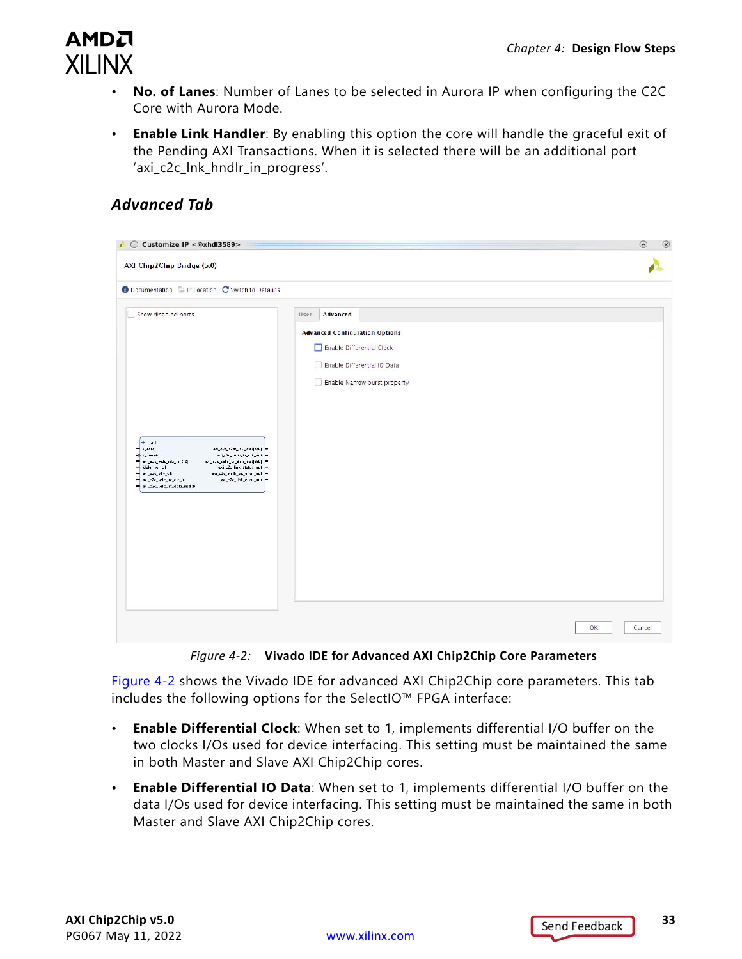

- **No. of Lanes**: Number of Lanes to be selected in Aurora IP when configuring the C2C Core with Aurora Mode.
- **Enable Link Handler**: By enabling this option the core will handle the graceful exit of the Pending AXI Transactions. When it is selected there will be an additional port 'axi c2c lnk hndlr in progress'.

#### *Advanced Tab*

<span id="page-32-0"></span>

| Customize IP <@xhdl3589><br>AXI Chip2Chip Bridge (5.0)                                                                                                                                                                                                                                                                                                                                     |                                                                                                                                                       | $\circledR$<br>$\odot$ |
|--------------------------------------------------------------------------------------------------------------------------------------------------------------------------------------------------------------------------------------------------------------------------------------------------------------------------------------------------------------------------------------------|-------------------------------------------------------------------------------------------------------------------------------------------------------|------------------------|
| Documentation FIP Location C Switch to Defaults                                                                                                                                                                                                                                                                                                                                            |                                                                                                                                                       |                        |
| Show disabled ports<br>$+$ s_axi<br>$\epsilon_{\rm m}$ ac.fk.<br>axi_c2c_s2m_intr_out 3:D <br>s_alesein<br>axi_c2c_selia_tx_clk_aut<br>axi_c2c_m2s_intr_in(3:D)<br>axi_c2c_selia_tx_data_out(8:0) =<br>axi_c2c_link_status_out =<br>idelay_rel_clk<br>axi_c2c_phy_clk<br>axi_c2c_multi_bit_enor_out<br>axi_c2c_link_enar_aut -<br>axi_c2c_selia_ux_clk_in<br>axi_c2c_selio_sx_data_in(B:D) | Advanced<br>User<br><b>Advanced Configuration Options</b><br>Enable Differential Clock<br>Enable Differential IO Data<br>Enable Narrow burst property |                        |
|                                                                                                                                                                                                                                                                                                                                                                                            |                                                                                                                                                       | OK<br>Cancel           |

*Figure 4-2:* **Vivado IDE for Advanced AXI Chip2Chip Core Parameters**

[Figure 4-2](#page-32-0) shows the Vivado IDE for advanced AXI Chip2Chip core parameters. This tab includes the following options for the SelectIO™ FPGA interface:

- **Enable Differential Clock**: When set to 1, implements differential I/O buffer on the two clocks I/Os used for device interfacing. This setting must be maintained the same in both Master and Slave AXI Chip2Chip cores.
- **Enable Differential IO Data**: When set to 1, implements differential I/O buffer on the data I/Os used for device interfacing. This setting must be maintained the same in both Master and Slave AXI Chip2Chip cores.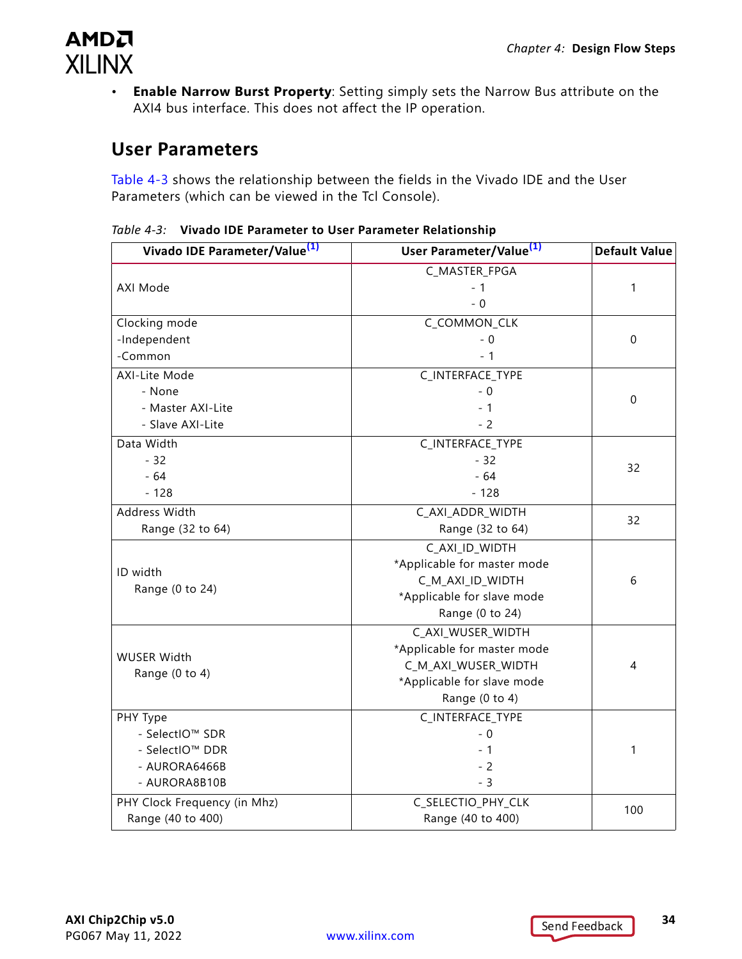

• **Enable Narrow Burst Property**: Setting simply sets the Narrow Bus attribute on the AXI4 bus interface. This does not affect the IP operation.

#### **User Parameters**

[Table 4-3](#page-33-0) shows the relationship between the fields in the Vivado IDE and the User Parameters (which can be viewed in the Tcl Console).

<span id="page-33-0"></span>

| Table 4-3: Vivado IDE Parameter to User Parameter Relationship |  |
|----------------------------------------------------------------|--|
|----------------------------------------------------------------|--|

| Vivado IDE Parameter/Value <sup>(1)</sup> | User Parameter/Value <sup>(1)</sup> | <b>Default Value</b> |
|-------------------------------------------|-------------------------------------|----------------------|
|                                           | C_MASTER_FPGA                       |                      |
| AXI Mode                                  | $-1$                                | 1                    |
|                                           | $-0$                                |                      |
| Clocking mode                             | C_COMMON_CLK                        |                      |
| -Independent                              | $-0$                                | $\mathbf 0$          |
| -Common                                   | $-1$                                |                      |
| AXI-Lite Mode                             | C_INTERFACE_TYPE                    |                      |
| - None                                    | $-0$                                |                      |
| - Master AXI-Lite                         | $-1$                                | $\pmb{0}$            |
| - Slave AXI-Lite                          | $-2$                                |                      |
| Data Width                                | C_INTERFACE_TYPE                    |                      |
| $-32$                                     | $-32$                               |                      |
| $-64$                                     | $-64$                               | 32                   |
| $-128$                                    | $-128$                              |                      |
| Address Width                             | C_AXI_ADDR_WIDTH                    | 32                   |
| Range (32 to 64)                          | Range (32 to 64)                    |                      |
|                                           | C_AXI_ID_WIDTH                      |                      |
| ID width                                  | *Applicable for master mode         |                      |
| Range (0 to 24)                           | C_M_AXI_ID_WIDTH                    | 6                    |
|                                           | *Applicable for slave mode          |                      |
|                                           | Range (0 to 24)                     |                      |
|                                           | C_AXI_WUSER_WIDTH                   |                      |
| <b>WUSER Width</b>                        | *Applicable for master mode         |                      |
| Range (0 to 4)                            | C_M_AXI_WUSER_WIDTH                 | 4                    |
|                                           | *Applicable for slave mode          |                      |
|                                           | Range (0 to 4)                      |                      |
| PHY Type                                  | C_INTERFACE_TYPE                    |                      |
| - SelectIO™ SDR                           | $-0$                                |                      |
| - SelectIO™ DDR                           | $-1$                                | 1                    |
| - AURORA6466B                             | $-2$                                |                      |
| - AURORA8B10B                             | $-3$                                |                      |
| PHY Clock Frequency (in Mhz)              | C_SELECTIO_PHY_CLK                  | 100                  |
| Range (40 to 400)                         | Range (40 to 400)                   |                      |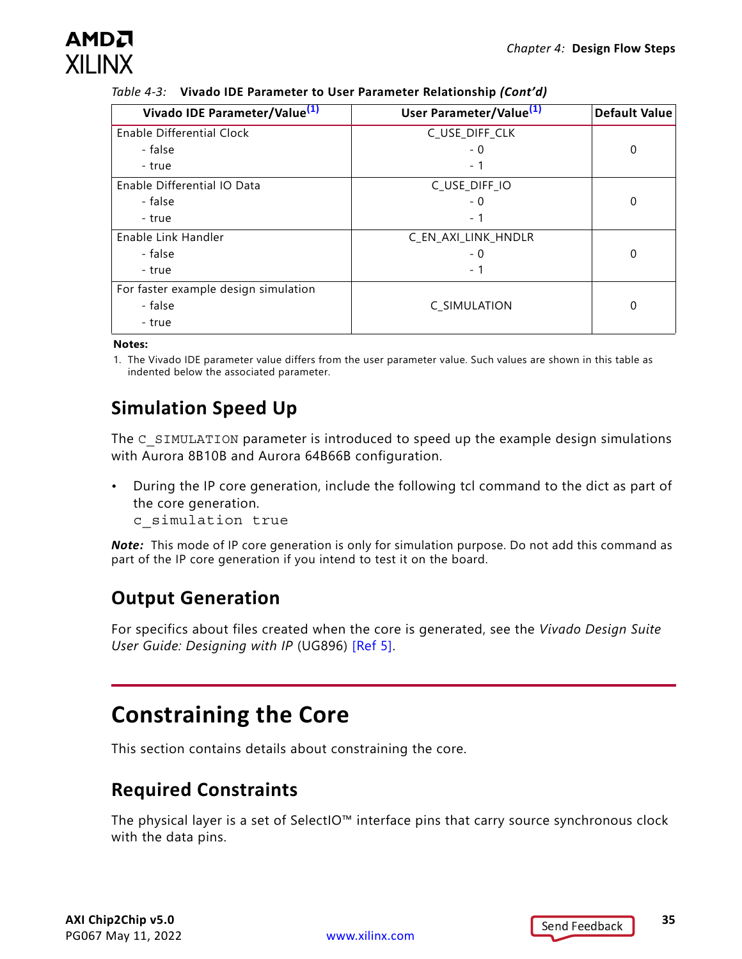## AMDZ **XII INX**

| Table 4-3: Vivado IDE Parameter to User Parameter Relationship (Cont'd) |  |
|-------------------------------------------------------------------------|--|
|                                                                         |  |

| Vivado IDE Parameter/Value <sup>(1)</sup> | User Parameter/Value <sup>(1)</sup> | <b>Default Value</b> |
|-------------------------------------------|-------------------------------------|----------------------|
| Enable Differential Clock                 | C_USE_DIFF_CLK                      |                      |
| - false                                   | - 0                                 | 0                    |
| - true                                    | - 1                                 |                      |
| Enable Differential IO Data               | C_USE_DIFF_IO                       |                      |
| - false                                   | - 0                                 | 0                    |
| - true                                    | - 1                                 |                      |
| Enable Link Handler                       | C_EN_AXI_LINK_HNDLR                 |                      |
| - false                                   | - 0                                 | 0                    |
| - true                                    | - 1                                 |                      |
| For faster example design simulation      |                                     |                      |
| - false                                   | C SIMULATION                        | 0                    |
| - true                                    |                                     |                      |

**Notes:** 

<span id="page-34-1"></span>1. The Vivado IDE parameter value differs from the user parameter value. Such values are shown in this table as indented below the associated parameter.

## **Simulation Speed Up**

The C\_SIMULATION parameter is introduced to speed up the example design simulations with Aurora 8B10B and Aurora 64B66B configuration.

- During the IP core generation, include the following tcl command to the dict as part of the core generation.
	- c\_simulation true

*Note:* This mode of IP core generation is only for simulation purpose. Do not add this command as part of the IP core generation if you intend to test it on the board.

### **Output Generation**

For specifics about files created when the core is generated, see the *Vivado Design Suite User Guide: Designing with IP* (UG896) [\[Ref 5\].](#page-51-1)

## <span id="page-34-0"></span>**Constraining the Core**

This section contains details about constraining the core.

#### **Required Constraints**

The physical layer is a set of SelectIO™ interface pins that carry source synchronous clock with the data pins.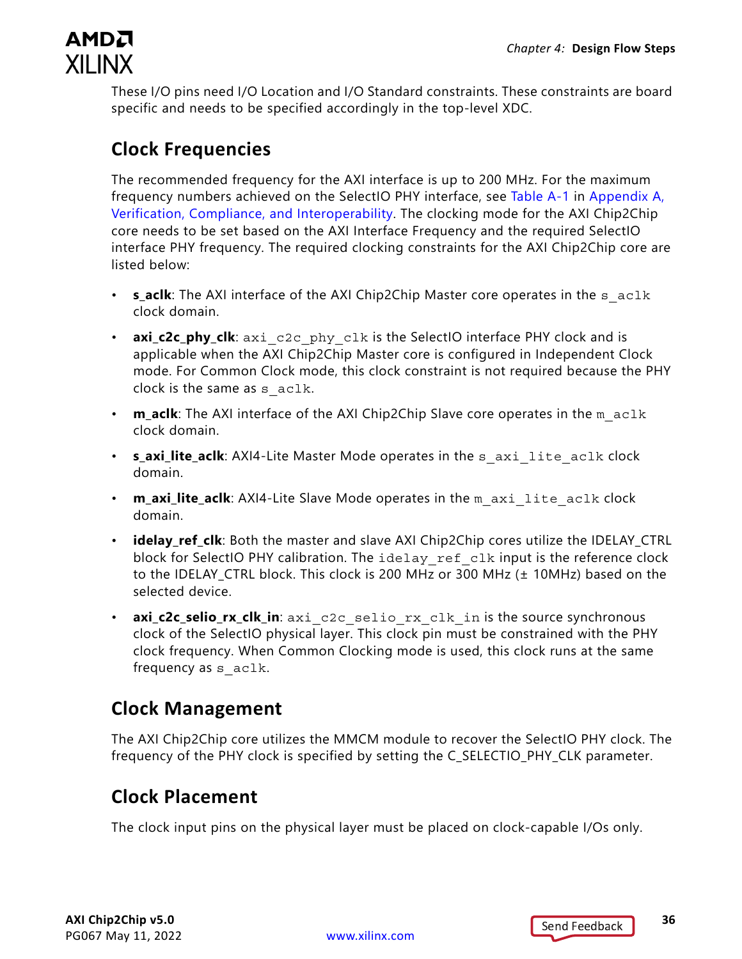

These I/O pins need I/O Location and I/O Standard constraints. These constraints are board specific and needs to be specified accordingly in the top-level XDC.

#### **Clock Frequencies**

The recommended frequency for the AXI interface is up to 200 MHz. For the maximum frequency numbers achieved on the SelectIO PHY interface, see [Table A-1](#page-42-0) in [Appendix A,](#page-41-3)  [Verification, Compliance, and Interoperability](#page-41-3). The clocking mode for the AXI Chip2Chip core needs to be set based on the AXI Interface Frequency and the required SelectIO interface PHY frequency. The required clocking constraints for the AXI Chip2Chip core are listed below:

- **s\_aclk**: The AXI interface of the AXI Chip2Chip Master core operates in the s aclk clock domain.
- **axi\_c2c\_phy\_clk**: axi c2c\_phy\_clk is the SelectIO interface PHY clock and is applicable when the AXI Chip2Chip Master core is configured in Independent Clock mode. For Common Clock mode, this clock constraint is not required because the PHY clock is the same as s aclk.
- **m\_aclk**: The AXI interface of the AXI Chip2Chip Slave core operates in the m\_aclk clock domain.
- **s\_axi\_lite\_aclk**: AXI4-Lite Master Mode operates in the s\_axi\_lite\_aclk clock domain.
- **m\_axi\_lite\_aclk**: AXI4-Lite Slave Mode operates in the m axi lite aclk clock domain.
- **idelay ref clk**: Both the master and slave AXI Chip2Chip cores utilize the IDELAY CTRL block for SelectIO PHY calibration. The idelay ref clk input is the reference clock to the IDELAY\_CTRL block. This clock is 200 MHz or 300 MHz (± 10MHz) based on the selected device.
- **axi\_c2c\_selio\_rx\_clk\_in**: axi\_c2c\_selio\_rx\_clk\_in is the source synchronous clock of the SelectIO physical layer. This clock pin must be constrained with the PHY clock frequency. When Common Clocking mode is used, this clock runs at the same frequency as s aclk.

### **Clock Management**

The AXI Chip2Chip core utilizes the MMCM module to recover the SelectIO PHY clock. The frequency of the PHY clock is specified by setting the C\_SELECTIO\_PHY\_CLK parameter.

### **Clock Placement**

The clock input pins on the physical layer must be placed on clock-capable I/Os only.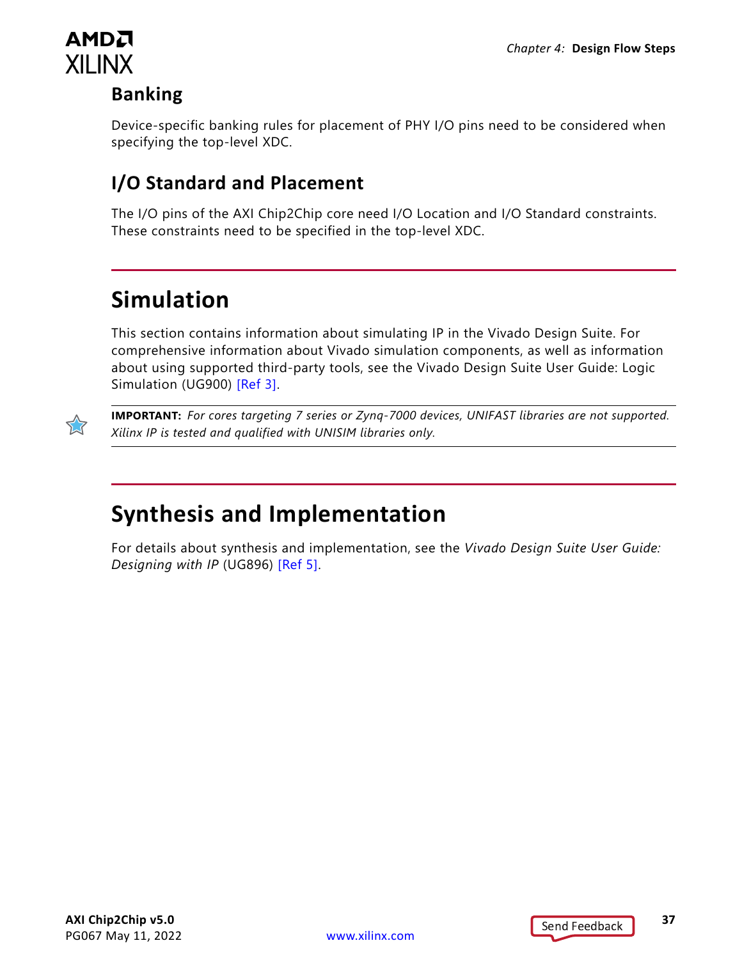

### **Banking**

Device-specific banking rules for placement of PHY I/O pins need to be considered when specifying the top-level XDC.

### **I/O Standard and Placement**

The I/O pins of the AXI Chip2Chip core need I/O Location and I/O Standard constraints. These constraints need to be specified in the top-level XDC.

## <span id="page-36-0"></span>**Simulation**

This section contains information about simulating IP in the Vivado Design Suite. For comprehensive information about Vivado simulation components, as well as information about using supported third-party tools, see the Vivado Design Suite User Guide: Logic Simulation (UG900) [\[Ref 3\].](#page-51-8)



**IMPORTANT:** *For cores targeting 7 series or Zynq-7000 devices, UNIFAST libraries are not supported. Xilinx IP is tested and qualified with UNISIM libraries only.*

## <span id="page-36-1"></span>**Synthesis and Implementation**

For details about synthesis and implementation, see the *Vivado Design Suite User Guide: Designing with IP* (UG896) [\[Ref 5\].](#page-51-1)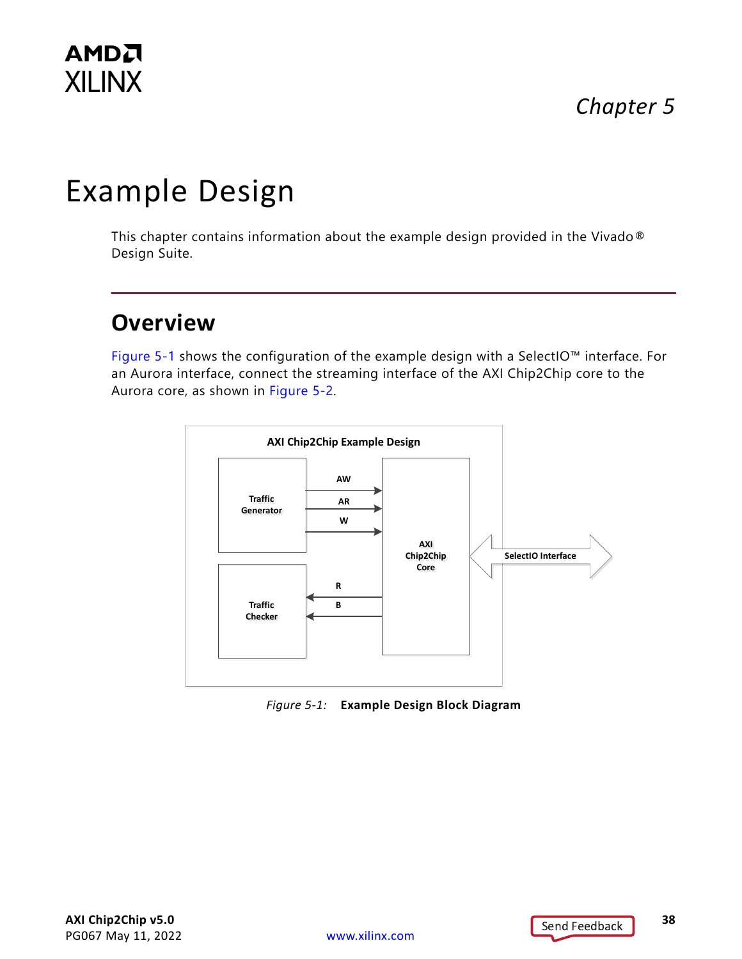## *Chapter 5*

# <span id="page-37-2"></span><span id="page-37-0"></span>Example Design

This chapter contains information about the example design provided in the Vivado® Design Suite.

## <span id="page-37-1"></span>**Overview**

[Figure 5-1](#page-37-3) shows the configuration of the example design with a SelectIO™ interface. For an Aurora interface, connect the streaming interface of the AXI Chip2Chip core to the Aurora core, as shown in [Figure 5-2](#page-38-1).

<span id="page-37-3"></span>

*Figure 5-1:* **Example Design Block Diagram**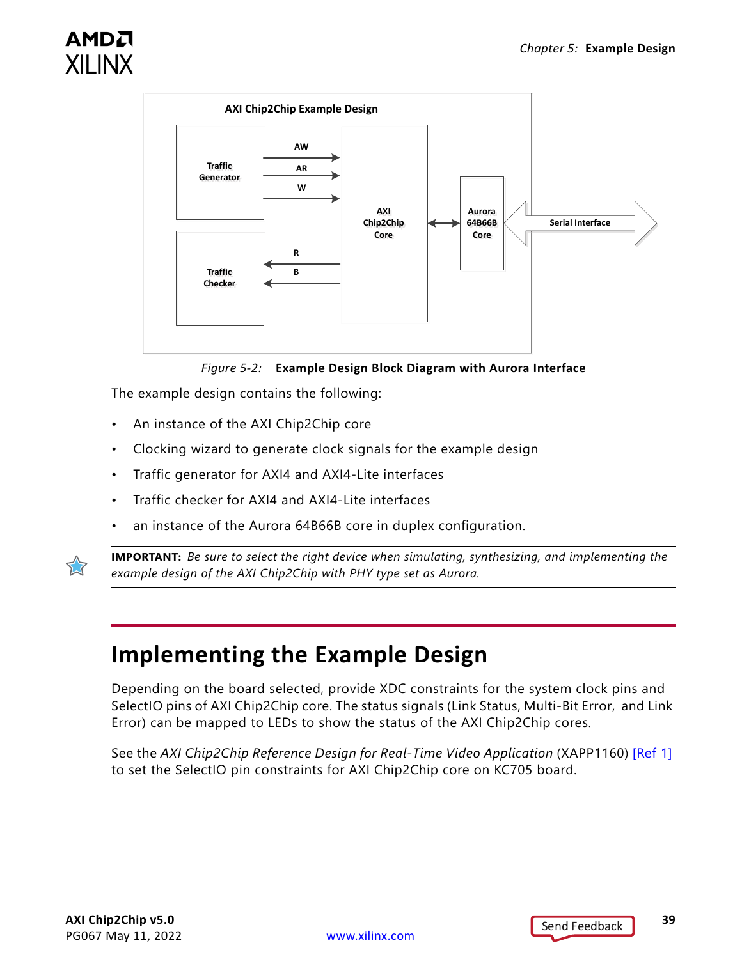

<span id="page-38-1"></span>



The example design contains the following:

- An instance of the AXI Chip2Chip core
- Clocking wizard to generate clock signals for the example design
- Traffic generator for AXI4 and AXI4-Lite interfaces
- Traffic checker for AXI4 and AXI4-Lite interfaces
- an instance of the Aurora 64B66B core in duplex configuration.



**IMPORTANT:** *Be sure to select the right device when simulating, synthesizing, and implementing the example design of the AXI Chip2Chip with PHY type set as Aurora.*

## <span id="page-38-0"></span>**Implementing the Example Design**

Depending on the board selected, provide XDC constraints for the system clock pins and SelectIO pins of AXI Chip2Chip core. The status signals (Link Status, Multi-Bit Error, and Link Error) can be mapped to LEDs to show the status of the AXI Chip2Chip cores.

See the *AXI Chip2Chip Reference Design for Real-Time Video Application* (XAPP1160) [\[Ref 1\]](#page-50-5) to set the SelectIO pin constraints for AXI Chip2Chip core on KC705 board.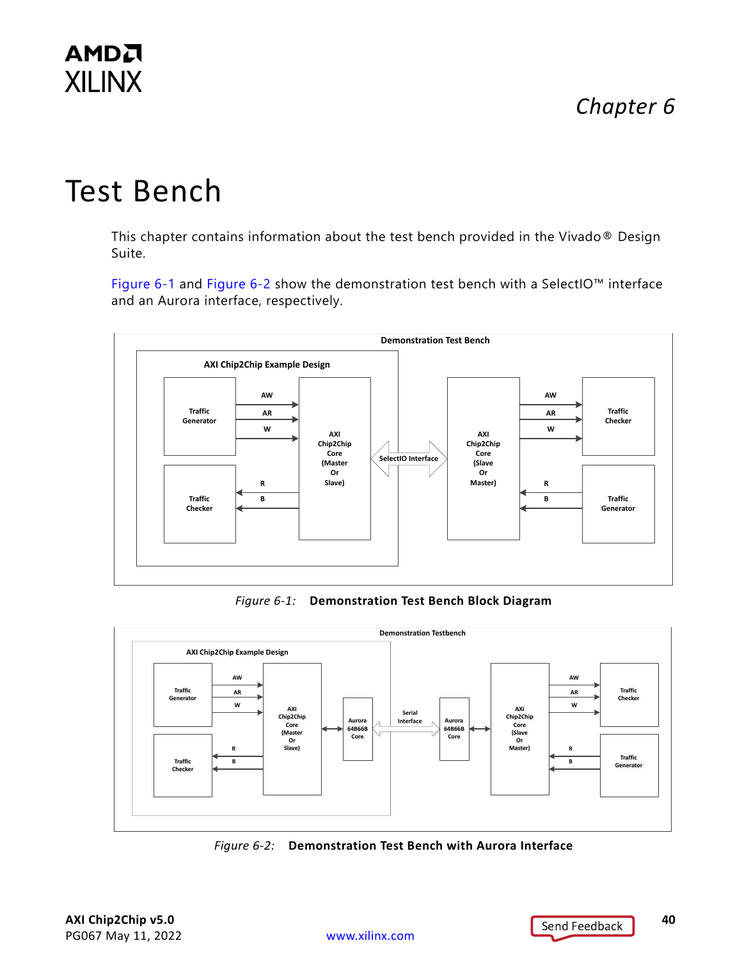## *Chapter 6*

## **AMDA XILINX**

# <span id="page-39-0"></span>Test Bench

This chapter contains information about the test bench provided in the Vivado® Design Suite.

[Figure 6-1](#page-39-1) and [Figure 6-2](#page-39-2) show the demonstration test bench with a SelectIO™ interface and an Aurora interface, respectively.

<span id="page-39-1"></span>

*Figure 6-1:* **Demonstration Test Bench Block Diagram**

<span id="page-39-2"></span>

*Figure 6-2:* **Demonstration Test Bench with Aurora Interface**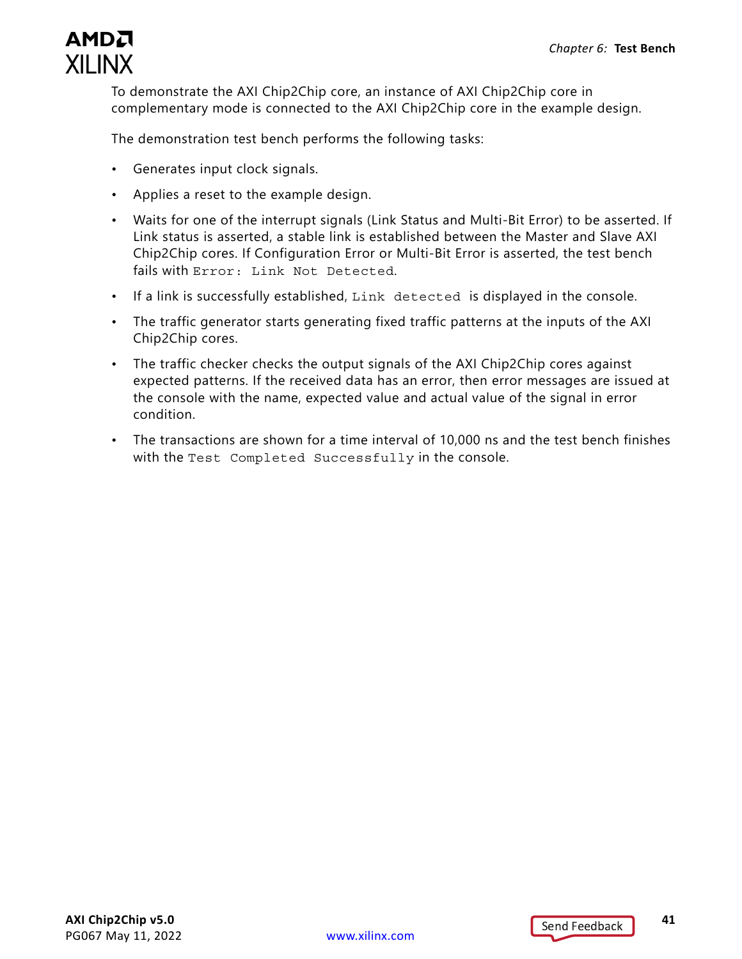

To demonstrate the AXI Chip2Chip core, an instance of AXI Chip2Chip core in complementary mode is connected to the AXI Chip2Chip core in the example design.

The demonstration test bench performs the following tasks:

- Generates input clock signals.
- Applies a reset to the example design.
- Waits for one of the interrupt signals (Link Status and Multi-Bit Error) to be asserted. If Link status is asserted, a stable link is established between the Master and Slave AXI Chip2Chip cores. If Configuration Error or Multi-Bit Error is asserted, the test bench fails with Error: Link Not Detected.
- If a link is successfully established, Link detected is displayed in the console.
- The traffic generator starts generating fixed traffic patterns at the inputs of the AXI Chip2Chip cores.
- The traffic checker checks the output signals of the AXI Chip2Chip cores against expected patterns. If the received data has an error, then error messages are issued at the console with the name, expected value and actual value of the signal in error condition.
- The transactions are shown for a time interval of 10,000 ns and the test bench finishes with the Test Completed Successfully in the console.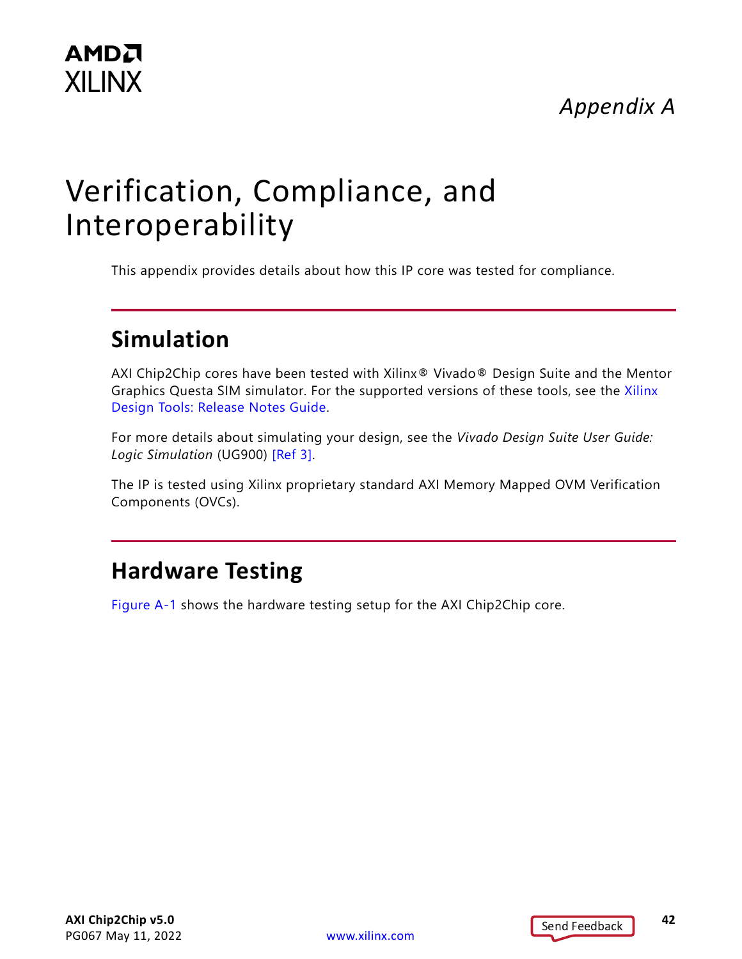## *Appendix A*

# <span id="page-41-3"></span><span id="page-41-0"></span>Verification, Compliance, and Interoperability

This appendix provides details about how this IP core was tested for compliance.

## <span id="page-41-1"></span>**Simulation**

AXI Chip2Chip cores have been tested with Xilinx® Vivado® Design Suite and the Mentor Graphics Questa SIM simulator. For the supported versions of these tools, see the [Xilinx](https://www.xilinx.com/cgi-bin/docs/rdoc?v=latest;t=vivado+release+notes)  [Design Tools: Release Notes Guide](https://www.xilinx.com/cgi-bin/docs/rdoc?v=latest;t=vivado+release+notes).

For more details about simulating your design, see the *Vivado Design Suite User Guide: Logic Simulation* (UG900) [\[Ref 3\].](#page-51-8)

The IP is tested using Xilinx proprietary standard AXI Memory Mapped OVM Verification Components (OVCs).

## <span id="page-41-2"></span>**Hardware Testing**

[Figure A-1](#page-42-1) shows the hardware testing setup for the AXI Chip2Chip core.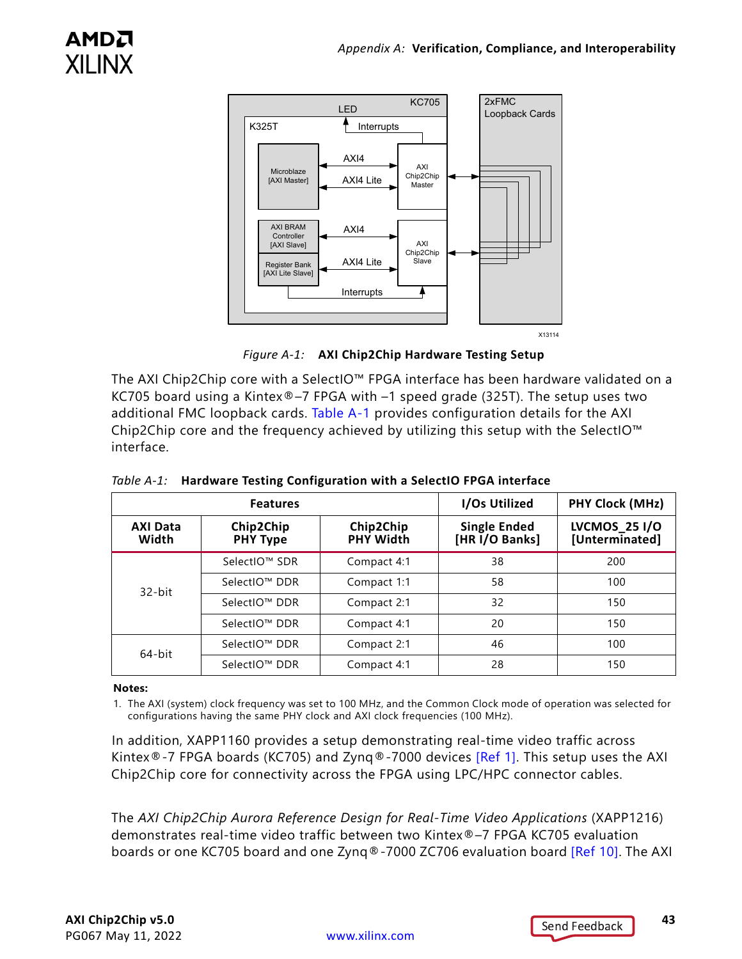<span id="page-42-1"></span>

*Figure A-1:* **AXI Chip2Chip Hardware Testing Setup**

The AXI Chip2Chip core with a SelectIO™ FPGA interface has been hardware validated on a KC705 board using a Kintex®–7 FPGA with –1 speed grade (325T). The setup uses two additional FMC loopback cards. [Table A-1](#page-42-2) provides configuration details for the AXI Chip2Chip core and the frequency achieved by utilizing this setup with the SelectIO™ interface.

| <b>Features</b>                                          |               | I/Os Utilized                 | PHY Clock (MHz)                |                                        |
|----------------------------------------------------------|---------------|-------------------------------|--------------------------------|----------------------------------------|
| Chip2Chip<br><b>AXI Data</b><br>Width<br><b>PHY Type</b> |               | Chip2Chip<br><b>PHY Width</b> | Single Ended<br>[HR I/O Banks] | <b>LVCMOS_25 I/O</b><br>[Unterminated] |
|                                                          | SelectIO™ SDR | Compact 4:1                   | 38                             | 200                                    |
| $32$ -bit                                                | SelectIO™ DDR | Compact 1:1                   | 58                             | 100                                    |
|                                                          | SelectIO™ DDR | Compact 2:1                   | 32                             | 150                                    |
|                                                          | SelectIO™ DDR | Compact 4:1                   | 20                             | 150                                    |
| 64-bit                                                   | SelectIO™ DDR | Compact 2:1                   | 46                             | 100                                    |
|                                                          | SelectIO™ DDR | Compact 4:1                   | 28                             | 150                                    |

<span id="page-42-2"></span><span id="page-42-0"></span>*Table A-1:* **Hardware Testing Configuration with a SelectIO FPGA interface**

#### **Notes:**

1. The AXI (system) clock frequency was set to 100 MHz, and the Common Clock mode of operation was selected for configurations having the same PHY clock and AXI clock frequencies (100 MHz).

In addition, XAPP1160 provides a setup demonstrating real-time video traffic across Kintex®-7 FPGA boards (KC705) and Zynq®-7000 devices [\[Ref 1\]](#page-50-5). This setup uses the AXI Chip2Chip core for connectivity across the FPGA using LPC/HPC connector cables.

The *AXI Chip2Chip Aurora Reference Design for Real-Time Video Applications* (XAPP1216) demonstrates real-time video traffic between two Kintex®–7 FPGA KC705 evaluation boards or one KC705 board and one Zynq®-7000 ZC706 evaluation board [\[Ref 10\].](#page-51-9) The AXI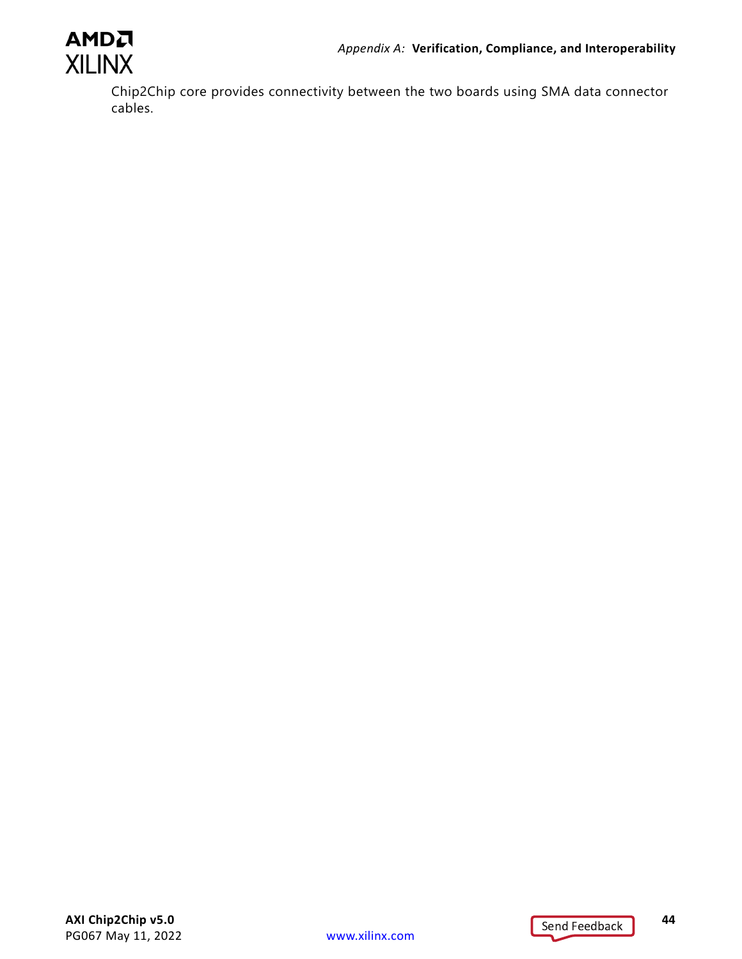

Chip2Chip core provides connectivity between the two boards using SMA data connector cables.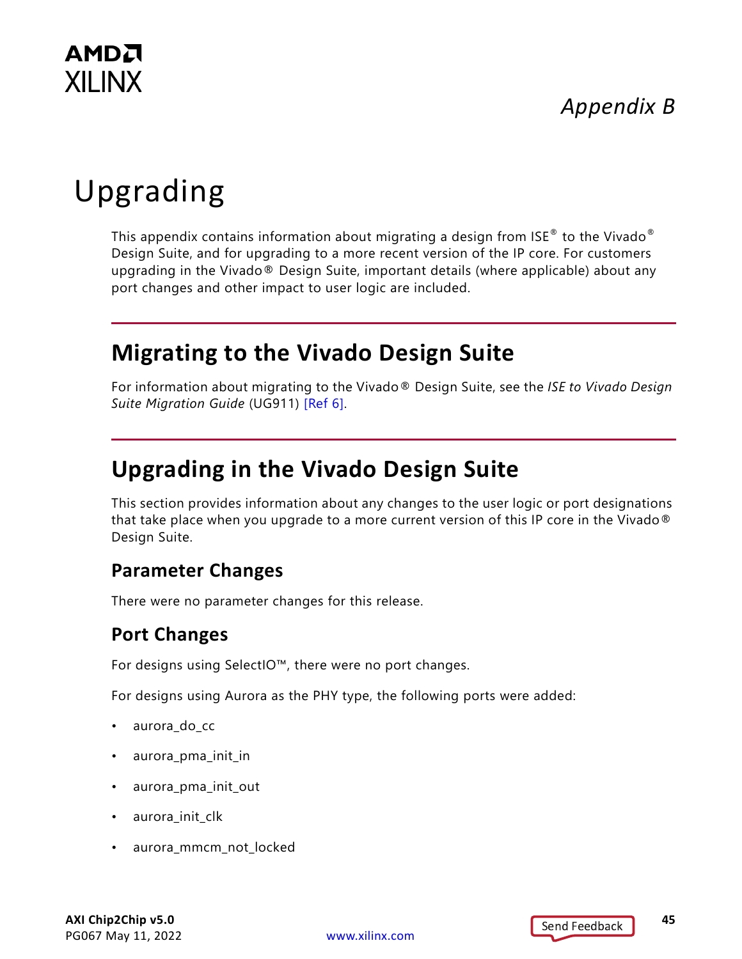

## *Appendix B*

# <span id="page-44-0"></span>Upgrading

This appendix contains information about migrating a design from  $\text{ISE}^{\otimes}$  to the Vivado $^{\otimes}$ Design Suite, and for upgrading to a more recent version of the IP core. For customers upgrading in the Vivado® Design Suite, important details (where applicable) about any port changes and other impact to user logic are included.

## <span id="page-44-1"></span>**Migrating to the Vivado Design Suite**

For information about migrating to the Vivado® Design Suite, see the *ISE to Vivado Design Suite Migration Guide* (UG911) [\[Ref 6\]](#page-51-10).

## <span id="page-44-2"></span>**Upgrading in the Vivado Design Suite**

This section provides information about any changes to the user logic or port designations that take place when you upgrade to a more current version of this IP core in the Vivado® Design Suite.

#### **Parameter Changes**

There were no parameter changes for this release.

### **Port Changes**

For designs using SelectIO™, there were no port changes.

For designs using Aurora as the PHY type, the following ports were added:

- aurora\_do\_cc
- aurora\_pma\_init\_in
- aurora\_pma\_init\_out
- aurora\_init\_clk
- aurora\_mmcm\_not\_locked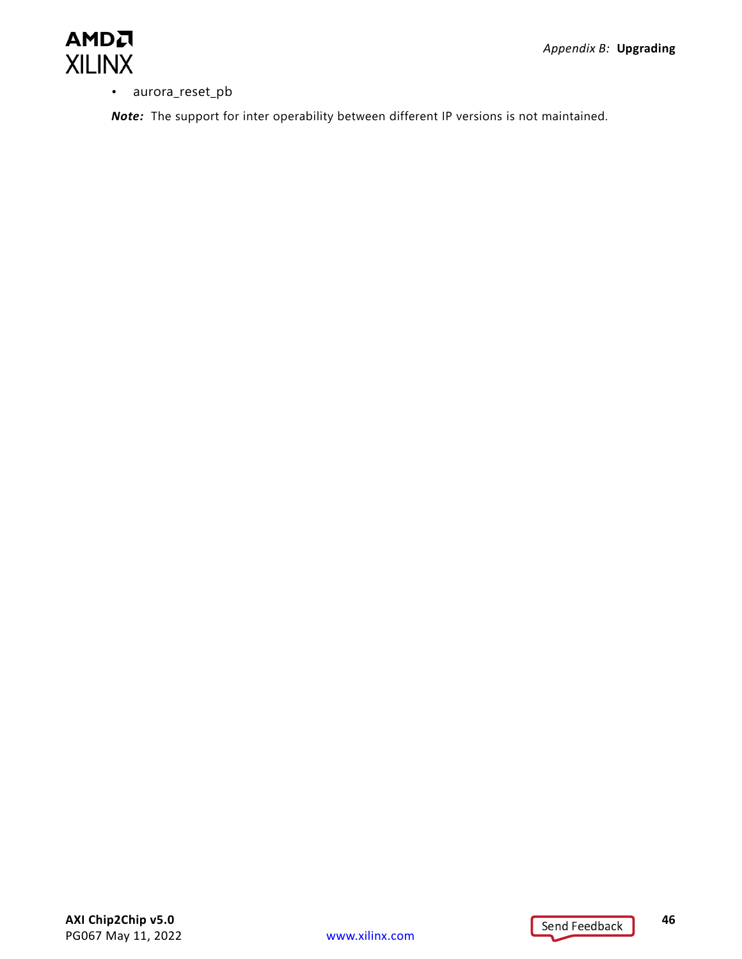• aurora\_reset\_pb

*Note:* The support for inter operability between different IP versions is not maintained.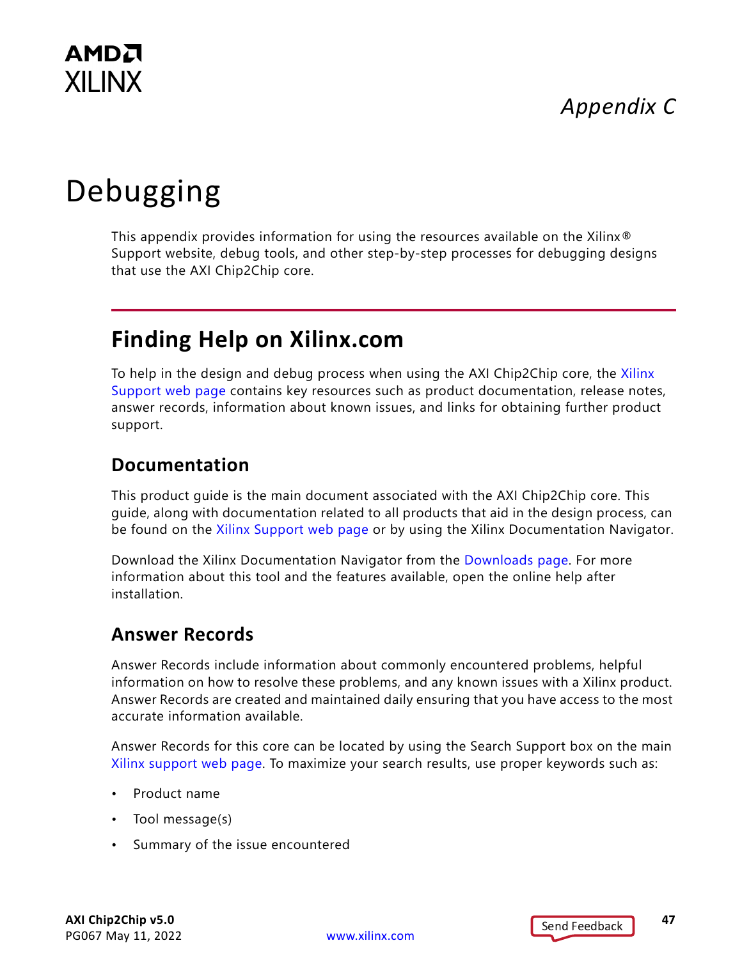## *Appendix C*



# <span id="page-46-2"></span><span id="page-46-0"></span>Debugging

This appendix provides information for using the resources available on the Xilinx® Support website, debug tools, and other step-by-step processes for debugging designs that use the AXI Chip2Chip core.

## <span id="page-46-1"></span>**Finding Help on Xilinx.com**

To help in the design and debug process when using the AXI Chip2Chip core, the [Xilinx](https://www.xilinx.com/support)  [Support web page](https://www.xilinx.com/support) contains key resources such as product documentation, release notes, answer records, information about known issues, and links for obtaining further product support.

#### **Documentation**

This product guide is the main document associated with the AXI Chip2Chip core. This guide, along with documentation related to all products that aid in the design process, can be found on the [Xilinx Support web page](https://www.xilinx.com/support) or by using the Xilinx Documentation Navigator.

Download the Xilinx Documentation Navigator from the [Downloads page](https://www.xilinx.com/support/download.html). For more information about this tool and the features available, open the online help after installation.

#### **Answer Records**

Answer Records include information about commonly encountered problems, helpful information on how to resolve these problems, and any known issues with a Xilinx product. Answer Records are created and maintained daily ensuring that you have access to the most accurate information available.

Answer Records for this core can be located by using the Search Support box on the main [Xilinx support web page.](https://www.xilinx.com/support) To maximize your search results, use proper keywords such as:

- Product name
- Tool message(s)
- Summary of the issue encountered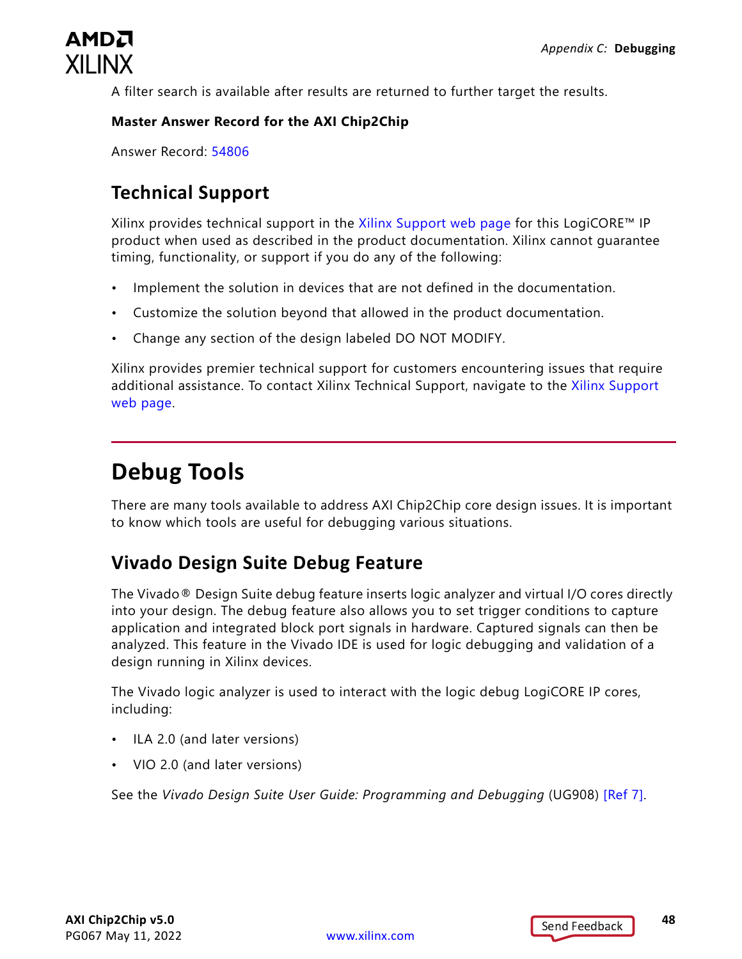

A filter search is available after results are returned to further target the results.

#### **Master Answer Record for the AXI Chip2Chip**

Answer Record: [54806](https://www.xilinx.com/cgi-bin/docs/ndoc?t=answers;d=54806.html)

#### **Technical Support**

Xilinx provides technical support in the [Xilinx Support web page](https://www.xilinx.com/support) for this LogiCORE™ IP product when used as described in the product documentation. Xilinx cannot guarantee timing, functionality, or support if you do any of the following:

- Implement the solution in devices that are not defined in the documentation.
- Customize the solution beyond that allowed in the product documentation.
- Change any section of the design labeled DO NOT MODIFY.

Xilinx provides premier technical support for customers encountering issues that require additional assistance. To contact Xilinx Technical Support, navigate to the [Xilinx Support](https://www.xilinx.com/support)  [web page](https://www.xilinx.com/support).

## <span id="page-47-0"></span>**Debug Tools**

There are many tools available to address AXI Chip2Chip core design issues. It is important to know which tools are useful for debugging various situations.

### **Vivado Design Suite Debug Feature**

The Vivado® Design Suite debug feature inserts logic analyzer and virtual I/O cores directly into your design. The debug feature also allows you to set trigger conditions to capture application and integrated block port signals in hardware. Captured signals can then be analyzed. This feature in the Vivado IDE is used for logic debugging and validation of a design running in Xilinx devices.

The Vivado logic analyzer is used to interact with the logic debug LogiCORE IP cores, including:

- ILA 2.0 (and later versions)
- VIO 2.0 (and later versions)

See the *Vivado Design Suite User Guide: Programming and Debugging* (UG908) [\[Ref 7\]](#page-51-11).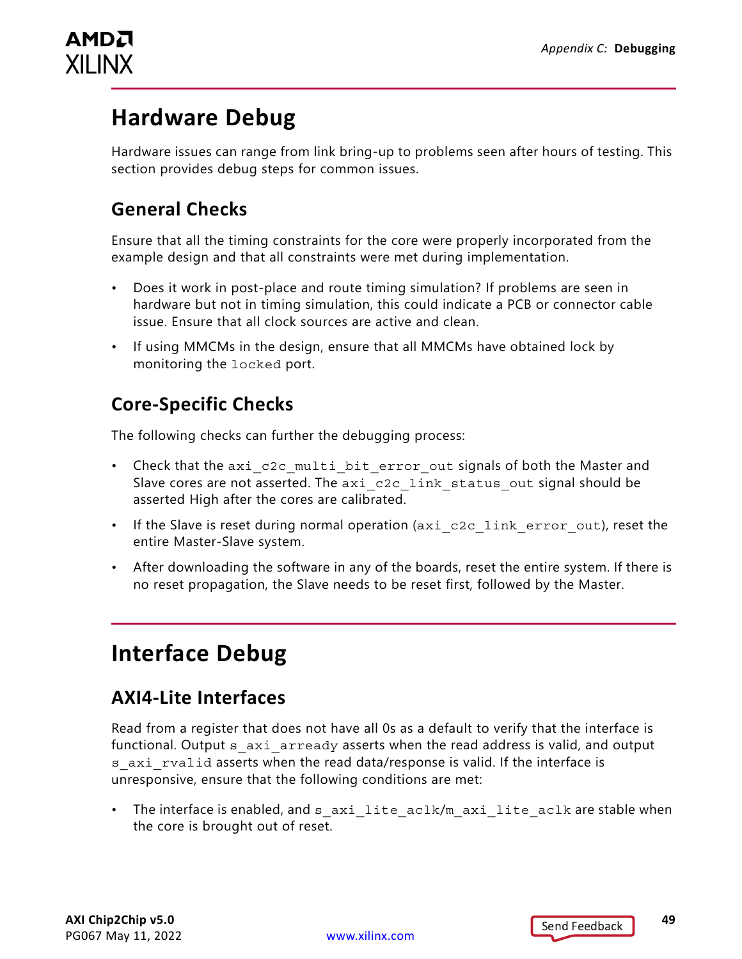

## <span id="page-48-0"></span>**Hardware Debug**

Hardware issues can range from link bring-up to problems seen after hours of testing. This section provides debug steps for common issues.

#### **General Checks**

Ensure that all the timing constraints for the core were properly incorporated from the example design and that all constraints were met during implementation.

- Does it work in post-place and route timing simulation? If problems are seen in hardware but not in timing simulation, this could indicate a PCB or connector cable issue. Ensure that all clock sources are active and clean.
- If using MMCMs in the design, ensure that all MMCMs have obtained lock by monitoring the locked port.

### **Core-Specific Checks**

The following checks can further the debugging process:

- Check that the axi c2c multi bit error out signals of both the Master and Slave cores are not asserted. The axi c2c\_link\_status\_out signal should be asserted High after the cores are calibrated.
- If the Slave is reset during normal operation (axi\_c2c\_link\_error\_out), reset the entire Master-Slave system.
- After downloading the software in any of the boards, reset the entire system. If there is no reset propagation, the Slave needs to be reset first, followed by the Master.

## <span id="page-48-1"></span>**Interface Debug**

### **AXI4-Lite Interfaces**

Read from a register that does not have all 0s as a default to verify that the interface is functional. Output s axi arready asserts when the read address is valid, and output s axi rvalid asserts when the read data/response is valid. If the interface is unresponsive, ensure that the following conditions are met:

• The interface is enabled, and s axilite aclk/m axilite aclk are stable when the core is brought out of reset.

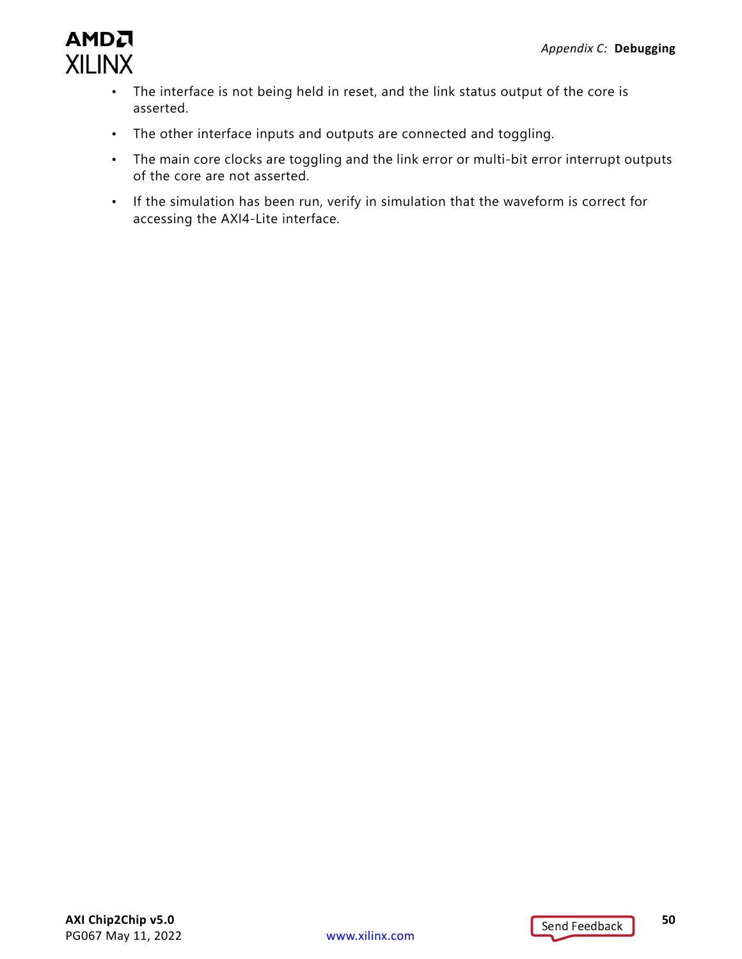

- The interface is not being held in reset, and the link status output of the core is asserted.
- The other interface inputs and outputs are connected and toggling.
- The main core clocks are toggling and the link error or multi-bit error interrupt outputs of the core are not asserted.
- If the simulation has been run, verify in simulation that the waveform is correct for accessing the AXI4-Lite interface.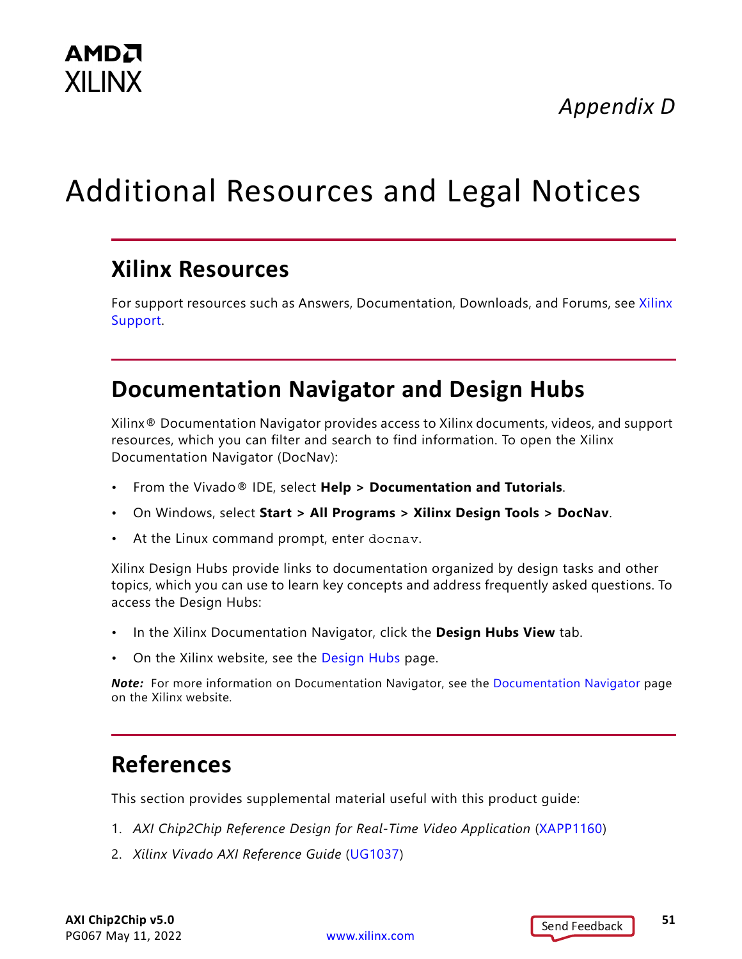*Appendix D*

# <span id="page-50-0"></span>Additional Resources and Legal Notices

## <span id="page-50-1"></span>**Xilinx Resources**

For support resources such as Answers, Documentation, Downloads, and Forums, see [Xilinx](https://www.xilinx.com/support)  [Support](https://www.xilinx.com/support).

## <span id="page-50-2"></span>**Documentation Navigator and Design Hubs**

Xilinx® Documentation Navigator provides access to Xilinx documents, videos, and support resources, which you can filter and search to find information. To open the Xilinx Documentation Navigator (DocNav):

- From the Vivado® IDE, select **Help > Documentation and Tutorials**.
- On Windows, select **Start > All Programs > Xilinx Design Tools > DocNav**.
- At the Linux command prompt, enter docnav.

Xilinx Design Hubs provide links to documentation organized by design tasks and other topics, which you can use to learn key concepts and address frequently asked questions. To access the Design Hubs:

- In the Xilinx Documentation Navigator, click the **Design Hubs View** tab.
- On the Xilinx website, see the [Design Hubs](https://www.xilinx.com/cgi-bin/docs/ndoc?t=design+hubs) page.

*Note:* For more information on Documentation Navigator, see the [Documentation Navigator](https://www.xilinx.com/cgi-bin/docs/rdoc?t=docnav) page on the Xilinx website.

## <span id="page-50-3"></span>**References**

This section provides supplemental material useful with this product guide:

- <span id="page-50-5"></span>1. *AXI Chip2Chip Reference Design for Real-Time Video Application* ([XAPP1160](https://www.xilinx.com/cgi-bin/docs/ndoc?t=application+notes;d=xapp1160-c2c-real-time-video.pdf))
- <span id="page-50-4"></span>2. *Xilinx Vivado AXI Reference Guide* ([UG1037\)](https://www.xilinx.com/cgi-bin/docs/ipdoc?c=axi_ref_guide;v=latest;d=ug1037-vivado-axi-reference-guide.pdf)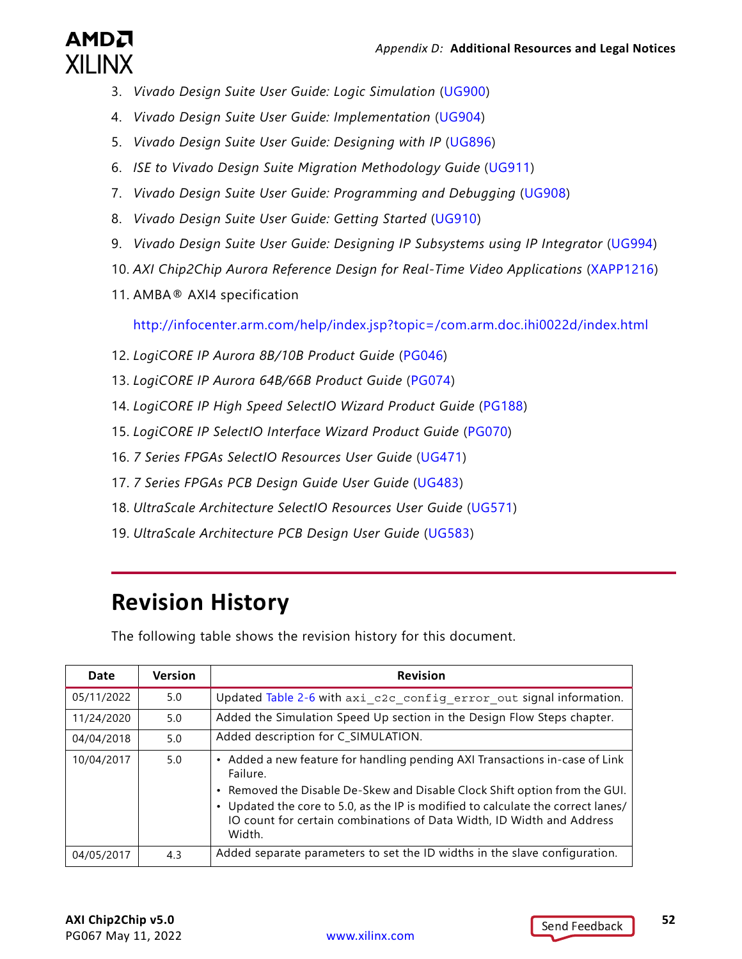

- <span id="page-51-8"></span>3. *Vivado Design Suite User Guide: Logic Simulation* ([UG900](https://www.xilinx.com/cgi-bin/docs/rdoc?v=latest;d=ug900-vivado-logic-simulation.pdf))
- 4. *Vivado Design Suite User Guide: Implementation* ([UG904](https://www.xilinx.com/cgi-bin/docs/rdoc?v=latest;d=ug904-vivado-implementation.pdf))
- <span id="page-51-1"></span>5. *Vivado Design Suite User Guide: Designing with IP* [\(UG896\)](https://www.xilinx.com/cgi-bin/docs/rdoc?v=latest;d=ug896-vivado-ip.pdf)
- <span id="page-51-10"></span>6. *ISE to Vivado Design Suite Migration Methodology Guide* [\(UG911\)](https://www.xilinx.com/cgi-bin/docs/rdoc?v=latest;d=ug911-vivado-migration.pdf)
- <span id="page-51-11"></span>7. *Vivado Design Suite User Guide: Programming and Debugging* ([UG908](https://www.xilinx.com/cgi-bin/docs/rdoc?v=latest;d=ug908-vivado-programming-debugging.pdf))
- <span id="page-51-6"></span>8. *Vivado Design Suite User Guide: Getting Started* ([UG910\)](https://www.xilinx.com/cgi-bin/docs/rdoc?v=latest;d=ug910-vivado-getting-started.pdf)
- <span id="page-51-7"></span>9. *Vivado Design Suite User Guide: Designing IP Subsystems using IP Integrator* ([UG994](https://www.xilinx.com/cgi-bin/docs/rdoc?v=latest;d=ug994-vivado-ip-subsystems.pdf))
- <span id="page-51-9"></span>10. *AXI Chip2Chip Aurora Reference Design for Real-Time Video Applications* ([XAPP1216](https://www.xilinx.com/cgi-bin/docs/ndoc?t=application+notes;d=xapp1216-axi-chip2chip-aurora.pdf))
- [11. AMBA® AXI4 specification](http://infocenter.arm.com/help/index.jsp?topic=/com.arm.doc.ihi0051a/index.html)

<span id="page-51-2"></span><http://infocenter.arm.com/help/index.jsp?topic=/com.arm.doc.ihi0022d/index.html>

- 12. *LogiCORE IP Aurora 8B/10B Product Guide* ([PG046\)](https://www.xilinx.com/cgi-bin/docs/ipdoc?c=aurora_8b10b;v=latest;d=pg046-aurora-8b10b.pdf)
- <span id="page-51-3"></span>13. *LogiCORE IP Aurora 64B/66B Product Guide* ([PG074](https://docs.xilinx.com/access/sources/framemaker/map?url=pg074-aurora-64b66b))
- <span id="page-51-4"></span>14. *LogiCORE IP High Speed SelectIO Wizard Product Guide* ([PG188](https://www.xilinx.com/cgi-bin/docs/ipdoc?c=high_speed_selectio_wiz;v=latest;d=pg188-high-speed-selectio-wiz.pdf))
- <span id="page-51-5"></span>15. *LogiCORE IP SelectIO Interface Wizard Product Guide* ([PG070](https://www.xilinx.com/cgi-bin/docs/ipdoc?c=selectio_wiz;v=latest;d=pg070-selectio-wiz.pdf))
- 16. *7 Series FPGAs SelectIO Resources User Guide* ([UG471\)](https://www.xilinx.com/cgi-bin/docs/ndoc?t=user_guides;d=ug471_7Series_SelectIO.pdf)
- 17. *7 Series FPGAs PCB Design Guide User Guide* ([UG483](https://www.xilinx.com/cgi-bin/docs/ndoc?t=user_guides;d=ug483_7Series_PCB.pdf))
- 18. *UltraScale Architecture SelectIO Resources User Guide* ([UG571\)](https://www.xilinx.com/cgi-bin/docs/ndoc?t=user_guides;d=ug571-ultrascale-selectio.pdf)
- 19. *UltraScale Architecture PCB Design User Guide* ([UG583](https://www.xilinx.com/cgi-bin/docs/ndoc?t=user_guides;d=ug583-ultrascale-pcb-design.pdf))

## <span id="page-51-0"></span>**Revision History**

The following table shows the revision history for this document.

| Date       | <b>Version</b> | <b>Revision</b>                                                                                                                                                                                                                                         |
|------------|----------------|---------------------------------------------------------------------------------------------------------------------------------------------------------------------------------------------------------------------------------------------------------|
| 05/11/2022 | 5.0            | Updated Table 2-6 with axi c2c config error out signal information.                                                                                                                                                                                     |
| 11/24/2020 | 5.0            | Added the Simulation Speed Up section in the Design Flow Steps chapter.                                                                                                                                                                                 |
| 04/04/2018 | 5.0            | Added description for C_SIMULATION.                                                                                                                                                                                                                     |
| 10/04/2017 | 5.0            | • Added a new feature for handling pending AXI Transactions in-case of Link<br>Failure.<br>• Removed the Disable De-Skew and Disable Clock Shift option from the GUI.<br>Updated the core to 5.0, as the IP is modified to calculate the correct lanes/ |
|            |                | IO count for certain combinations of Data Width, ID Width and Address<br>Width.                                                                                                                                                                         |
| 04/05/2017 | 4.3            | Added separate parameters to set the ID widths in the slave configuration.                                                                                                                                                                              |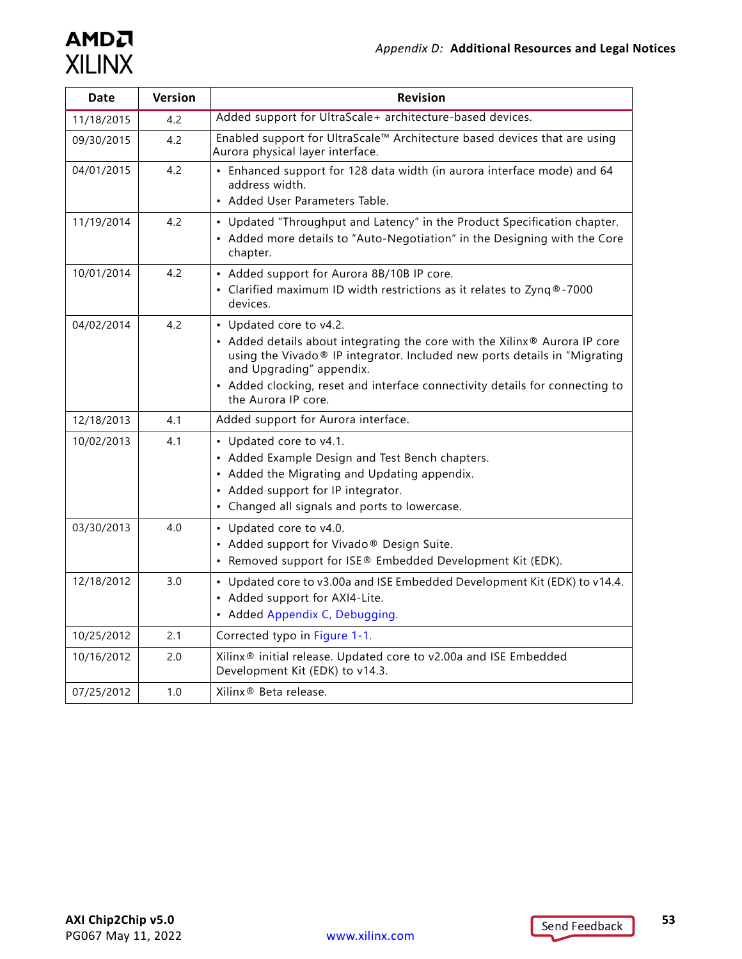| <b>Date</b> | Version | <b>Revision</b>                                                                                                                                                                                                                                                                                                       |
|-------------|---------|-----------------------------------------------------------------------------------------------------------------------------------------------------------------------------------------------------------------------------------------------------------------------------------------------------------------------|
| 11/18/2015  | 4.2     | Added support for UltraScale+ architecture-based devices.                                                                                                                                                                                                                                                             |
| 09/30/2015  | 4.2     | Enabled support for UltraScale™ Architecture based devices that are using<br>Aurora physical layer interface.                                                                                                                                                                                                         |
| 04/01/2015  | 4.2     | • Enhanced support for 128 data width (in aurora interface mode) and 64<br>address width.<br>• Added User Parameters Table.                                                                                                                                                                                           |
| 11/19/2014  | 4.2     | • Updated "Throughput and Latency" in the Product Specification chapter.<br>• Added more details to "Auto-Negotiation" in the Designing with the Core<br>chapter.                                                                                                                                                     |
| 10/01/2014  | 4.2     | • Added support for Aurora 8B/10B IP core.<br>• Clarified maximum ID width restrictions as it relates to Zynq®-7000<br>devices.                                                                                                                                                                                       |
| 04/02/2014  | 4.2     | • Updated core to v4.2.<br>• Added details about integrating the core with the Xilinx® Aurora IP core<br>using the Vivado® IP integrator. Included new ports details in "Migrating<br>and Upgrading" appendix.<br>• Added clocking, reset and interface connectivity details for connecting to<br>the Aurora IP core. |
| 12/18/2013  | 4.1     | Added support for Aurora interface.                                                                                                                                                                                                                                                                                   |
| 10/02/2013  | 4.1     | • Updated core to v4.1.<br>• Added Example Design and Test Bench chapters.<br>• Added the Migrating and Updating appendix.<br>• Added support for IP integrator.<br>• Changed all signals and ports to lowercase.                                                                                                     |
| 03/30/2013  | 4.0     | • Updated core to v4.0.<br>• Added support for Vivado® Design Suite.<br>• Removed support for ISE® Embedded Development Kit (EDK).                                                                                                                                                                                    |
| 12/18/2012  | 3.0     | • Updated core to v3.00a and ISE Embedded Development Kit (EDK) to v14.4.<br>• Added support for AXI4-Lite.<br>• Added Appendix C, Debugging.                                                                                                                                                                         |
| 10/25/2012  | 2.1     | Corrected typo in Figure 1-1.                                                                                                                                                                                                                                                                                         |
| 10/16/2012  | 2.0     | Xilinx® initial release. Updated core to v2.00a and ISE Embedded<br>Development Kit (EDK) to v14.3.                                                                                                                                                                                                                   |
| 07/25/2012  | 1.0     | Xilinx <sup>®</sup> Beta release.                                                                                                                                                                                                                                                                                     |